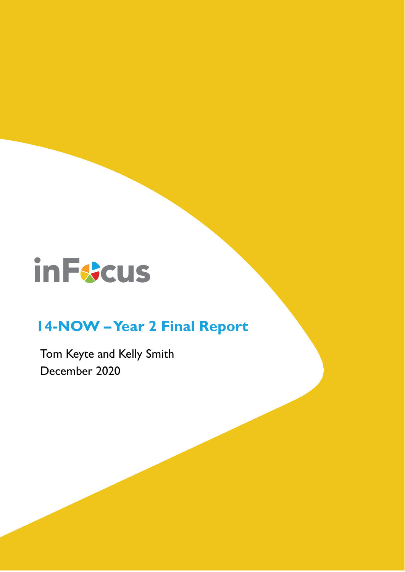

# **14-NOW –Year 2 Final Report**

Tom Keyte and Kelly Smith December 2020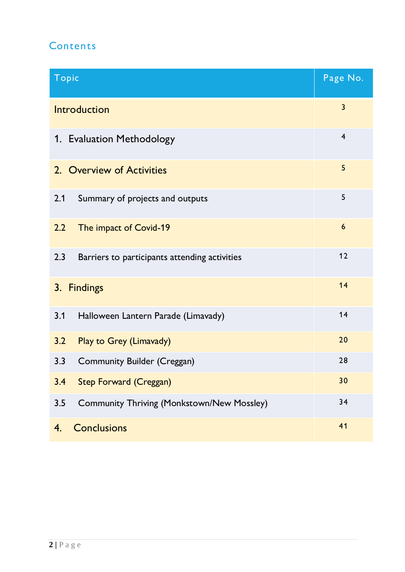# **Contents**

| <b>Topic</b>                                             | Page No.       |
|----------------------------------------------------------|----------------|
| Introduction                                             | $\overline{3}$ |
| 1. Evaluation Methodology                                | $\overline{4}$ |
| 2. Overview of Activities                                | 5              |
| 2.1<br>Summary of projects and outputs                   | 5              |
| 2.2<br>The impact of Covid-19                            | 6              |
| 2.3<br>Barriers to participants attending activities     | 12             |
| 3. Findings                                              | 14             |
| 3.1<br>Halloween Lantern Parade (Limavady)               | 14             |
| 3.2<br>Play to Grey (Limavady)                           | 20             |
| 3.3<br><b>Community Builder (Creggan)</b>                | 28             |
| 3.4<br><b>Step Forward (Creggan)</b>                     | 30             |
| 3.5<br><b>Community Thriving (Monkstown/New Mossley)</b> | 34             |
| <b>Conclusions</b><br>4.                                 | 41             |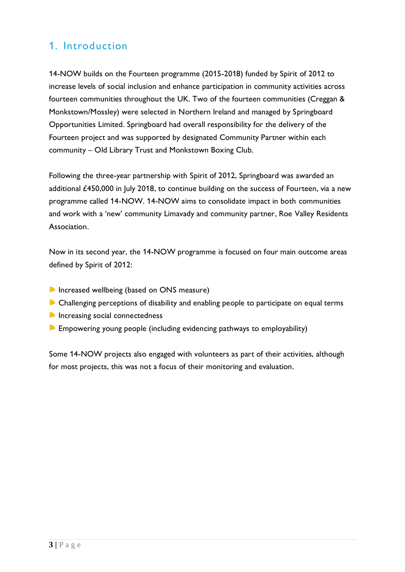# 1. Introduction

14-NOW builds on the Fourteen programme (2015-2018) funded by Spirit of 2012 to increase levels of social inclusion and enhance participation in community activities across fourteen communities throughout the UK. Two of the fourteen communities (Creggan & Monkstown/Mossley) were selected in Northern Ireland and managed by Springboard Opportunities Limited. Springboard had overall responsibility for the delivery of the Fourteen project and was supported by designated Community Partner within each community – Old Library Trust and Monkstown Boxing Club.

Following the three-year partnership with Spirit of 2012, Springboard was awarded an additional £450,000 in July 2018, to continue building on the success of Fourteen, via a new programme called 14-NOW. 14-NOW aims to consolidate impact in both communities and work with a 'new' community Limavady and community partner, Roe Valley Residents Association.

Now in its second year, the 14-NOW programme is focused on four main outcome areas defined by Spirit of 2012:

- **Increased wellbeing (based on ONS measure)**
- **Challenging perceptions of disability and enabling people to participate on equal terms**
- **Increasing social connectedness**
- **Empowering young people (including evidencing pathways to employability)**

Some 14-NOW projects also engaged with volunteers as part of their activities, although for most projects, this was not a focus of their monitoring and evaluation.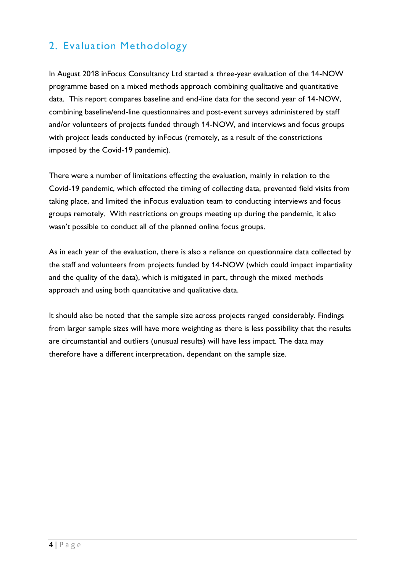# 2. Evaluation Methodology

In August 2018 inFocus Consultancy Ltd started a three-year evaluation of the 14-NOW programme based on a mixed methods approach combining qualitative and quantitative data. This report compares baseline and end-line data for the second year of 14-NOW, combining baseline/end-line questionnaires and post-event surveys administered by staff and/or volunteers of projects funded through 14-NOW, and interviews and focus groups with project leads conducted by inFocus (remotely, as a result of the constrictions imposed by the Covid-19 pandemic).

There were a number of limitations effecting the evaluation, mainly in relation to the Covid-19 pandemic, which effected the timing of collecting data, prevented field visits from taking place, and limited the inFocus evaluation team to conducting interviews and focus groups remotely. With restrictions on groups meeting up during the pandemic, it also wasn't possible to conduct all of the planned online focus groups.

As in each year of the evaluation, there is also a reliance on questionnaire data collected by the staff and volunteers from projects funded by 14-NOW (which could impact impartiality and the quality of the data), which is mitigated in part, through the mixed methods approach and using both quantitative and qualitative data.

It should also be noted that the sample size across projects ranged considerably. Findings from larger sample sizes will have more weighting as there is less possibility that the results are circumstantial and outliers (unusual results) will have less impact. The data may therefore have a different interpretation, dependant on the sample size.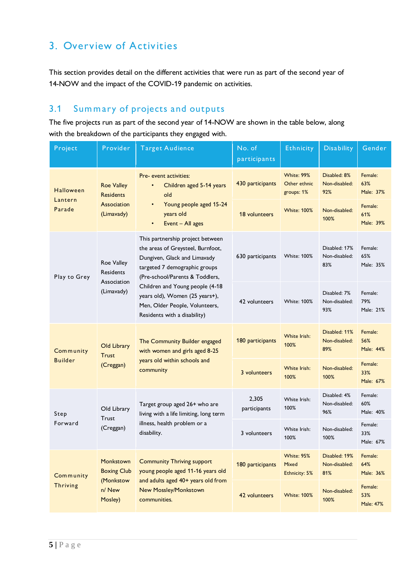# 3. Overview of Activities

This section provides detail on the different activities that were run as part of the second year of 14-NOW and the impact of the COVID-19 pandemic on activities.

# 3.1 Summary of projects and outputs

The five projects run as part of the second year of 14-NOW are shown in the table below, along with the breakdown of the participants they engaged with.

| Project           | Provider                                                                                                  | <b>Target Audience</b>                                                                                                                                                    | No. of<br>participants | Ethnicity                                       | <b>Disability</b>                     | Gender                             |
|-------------------|-----------------------------------------------------------------------------------------------------------|---------------------------------------------------------------------------------------------------------------------------------------------------------------------------|------------------------|-------------------------------------------------|---------------------------------------|------------------------------------|
| Halloween         | <b>Roe Valley</b><br><b>Residents</b>                                                                     | Pre- event activities:<br>Children aged 5-14 years<br>old                                                                                                                 | 430 participants       | <b>White: 99%</b><br>Other ethnic<br>groups: 1% | Disabled: 8%<br>Non-disabled:<br>92%  | Female:<br>63%<br>Male: 37%        |
| Lantern<br>Parade | Association<br>(Limavady)                                                                                 | Young people aged 15-24<br>years old<br>Event - All ages                                                                                                                  | 18 volunteers          | <b>White: 100%</b>                              | Non-disabled:<br>100%                 | Female:<br>61%<br>Male: 39%        |
| Play to Grey      | Roe Valley<br><b>Residents</b>                                                                            | This partnership project between<br>the areas of Greysteel, Burnfoot,<br>Dungiven, Glack and Limavady<br>targeted 7 demographic groups<br>(Pre-school/Parents & Toddlers, | 630 participants       | <b>White: 100%</b>                              | Disabled: 17%<br>Non-disabled:<br>83% | Female:<br>65%<br>Male: 35%        |
| (Limavady)        | Association                                                                                               | Children and Young people (4-18<br>years old), Women (25 years+),<br>Men, Older People, Volunteers,<br>Residents with a disability)                                       | 42 volunteers          | <b>White: 100%</b>                              | Disabled: 7%<br>Non-disabled:<br>93%  | Female:<br>79%<br>Male: 21%        |
| Community         | Old Library<br><b>Trust</b>                                                                               | The Community Builder engaged<br>with women and girls aged 8-25                                                                                                           | 180 participants       | White Irish:<br>100%                            | Disabled: 11%<br>Non-disabled:<br>89% | Female:<br>56%<br>Male: 44%        |
| <b>Builder</b>    | (Creggan)                                                                                                 | years old within schools and<br>community                                                                                                                                 | 3 volunteers           | White Irish:<br>100%                            | Non-disabled:<br>100%                 | Female:<br>33%<br>Male: 67%        |
| Step              | Old Library                                                                                               | Target group aged 26+ who are<br>living with a life limiting, long term                                                                                                   | 2,305<br>participants  | White Irish:<br>100%                            | Disabled: 4%<br>Non-disabled:<br>96%  | Female:<br>60%<br>Male: 40%        |
| Forward           | Trust<br>illness, health problem or a<br>(Creggan)<br>disability.                                         |                                                                                                                                                                           | 3 volunteers           | White Irish:<br>100%                            | Non-disabled:<br>100%                 | Female:<br>33%<br>Male: 67%        |
| Community         | Monkstown<br><b>Community Thriving support</b><br><b>Boxing Club</b><br>young people aged 11-16 years old |                                                                                                                                                                           | 180 participants       | <b>White: 95%</b><br>Mixed<br>Ethnicity: 5%     | Disabled: 19%<br>Non-disabled:<br>81% | Female:<br>64%<br>Male: 36%        |
| <b>Thriving</b>   | (Monkstow<br>n/ New<br>Mosley)                                                                            | and adults aged 40+ years old from<br><b>New Mossley/Monkstown</b><br>communities.                                                                                        | 42 volunteers          | <b>White: 100%</b>                              | Non-disabled:<br>100%                 | Female:<br>53%<br><b>Male: 47%</b> |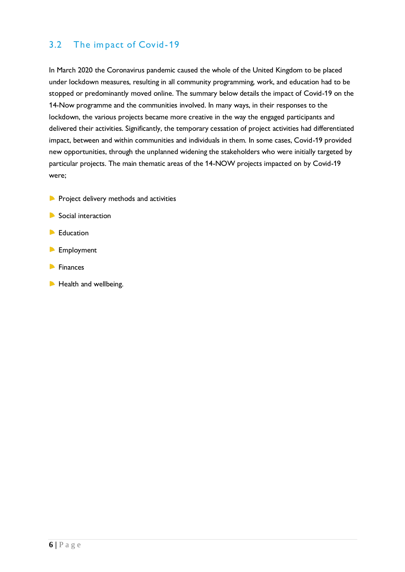# 3.2 The im pact of Covid-19

In March 2020 the Coronavirus pandemic caused the whole of the United Kingdom to be placed under lockdown measures, resulting in all community programming, work, and education had to be stopped or predominantly moved online. The summary below details the impact of Covid-19 on the 14-Now programme and the communities involved. In many ways, in their responses to the lockdown, the various projects became more creative in the way the engaged participants and delivered their activities. Significantly, the temporary cessation of project activities had differentiated impact, between and within communities and individuals in them. In some cases, Covid-19 provided new opportunities, through the unplanned widening the stakeholders who were initially targeted by particular projects. The main thematic areas of the 14-NOW projects impacted on by Covid-19 were;

- **P** Project delivery methods and activities
- Social interaction
- **Education**
- **Employment**
- $\blacktriangleright$  Finances
- Health and wellbeing.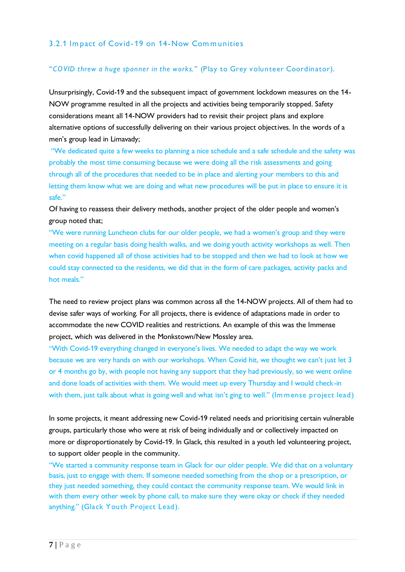#### 3.2.1 Im pact of Covid- 19 on 14-Now Com m unities

#### *"COVID threw a huge spanner in the works."* (Play to Grey volunteer Coordinator).

Unsurprisingly, Covid-19 and the subsequent impact of government lockdown measures on the 14- NOW programme resulted in all the projects and activities being temporarily stopped. Safety considerations meant all 14-NOW providers had to revisit their project plans and explore alternative options of successfully delivering on their various project objectives. In the words of a men's group lead in Limavady;

"We dedicated quite a few weeks to planning a nice schedule and a safe schedule and the safety was probably the most time consuming because we were doing all the risk assessments and going through all of the procedures that needed to be in place and alerting your members to this and letting them know what we are doing and what new procedures will be put in place to ensure it is safe."

Of having to reassess their delivery methods, another project of the older people and women's group noted that;

"We were running Luncheon clubs for our older people, we had a women's group and they were meeting on a regular basis doing health walks, and we doing youth activity workshops as well. Then when covid happened all of those activities had to be stopped and then we had to look at how we could stay connected to the residents, we did that in the form of care packages, activity packs and hot meals."

The need to review project plans was common across all the 14-NOW projects. All of them had to devise safer ways of working. For all projects, there is evidence of adaptations made in order to accommodate the new COVID realities and restrictions. An example of this was the Immense project, which was delivered in the Monkstown/New Mossley area.

"With Covid-19 everything changed in everyone's lives. We needed to adapt the way we work because we are very hands on with our workshops. When Covid hit, we thought we can't just let 3 or 4 months go by, with people not having any support that they had previously, so we went online and done loads of activities with them. We would meet up every Thursday and I would check-in with them, just talk about what is going well and what isn't ging to well." (Im m ense project lead)

In some projects, it meant addressing new Covid-19 related needs and prioritising certain vulnerable groups, particularly those who were at risk of being individually and or collectively impacted on more or disproportionately by Covid-19. In Glack, this resulted in a youth led volunteering project, to support older people in the community.

"We started a community response team in Glack for our older people. We did that on a voluntary basis, just to engage with them. If someone needed something from the shop or a prescription, or they just needed something, they could contact the community response team. We would link in with them every other week by phone call, to make sure they were okay or check if they needed anything." (Glack Youth Project Lead).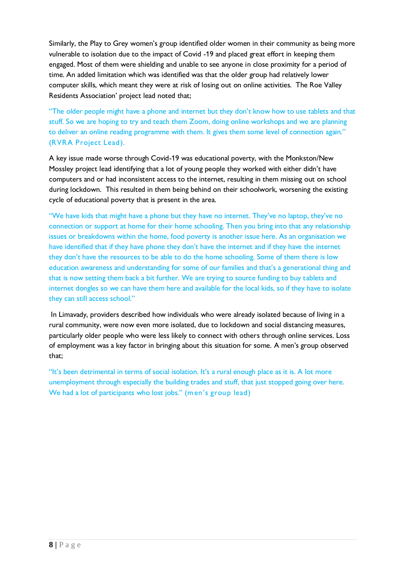Similarly, the Play to Grey women's group identified older women in their community as being more vulnerable to isolation due to the impact of Covid -19 and placed great effort in keeping them engaged. Most of them were shielding and unable to see anyone in close proximity for a period of time. An added limitation which was identified was that the older group had relatively lower computer skills, which meant they were at risk of losing out on online activities. The Roe Valley Residents Association' project lead noted that;

"The older people might have a phone and internet but they don't know how to use tablets and that stuff. So we are hoping to try and teach them Zoom, doing online workshops and we are planning to deliver an online reading programme with them. It gives them some level of connection again." (RVRA Project Lead).

A key issue made worse through Covid-19 was educational poverty, with the Monkston/New Mossley project lead identifying that a lot of young people they worked with either didn't have computers and or had inconsistent access to the internet, resulting in them missing out on school during lockdown. This resulted in them being behind on their schoolwork, worsening the existing cycle of educational poverty that is present in the area.

"We have kids that might have a phone but they have no internet. They've no laptop, they've no connection or support at home for their home schooling. Then you bring into that any relationship issues or breakdowns within the home, food poverty is another issue here. As an organisation we have identified that if they have phone they don't have the internet and if they have the internet they don't have the resources to be able to do the home schooling. Some of them there is low education awareness and understanding for some of our families and that's a generational thing and that is now setting them back a bit further. We are trying to source funding to buy tablets and internet dongles so we can have them here and available for the local kids, so if they have to isolate they can still access school."

In Limavady, providers described how individuals who were already isolated because of living in a rural community, were now even more isolated, due to lockdown and social distancing measures, particularly older people who were less likely to connect with others through online services. Loss of employment was a key factor in bringing about this situation for some. A men's group observed that;

"It's been detrimental in terms of social isolation. It's a rural enough place as it is. A lot more unemployment through especially the building trades and stuff, that just stopped going over here. We had a lot of participants who lost jobs." (m en's group lead)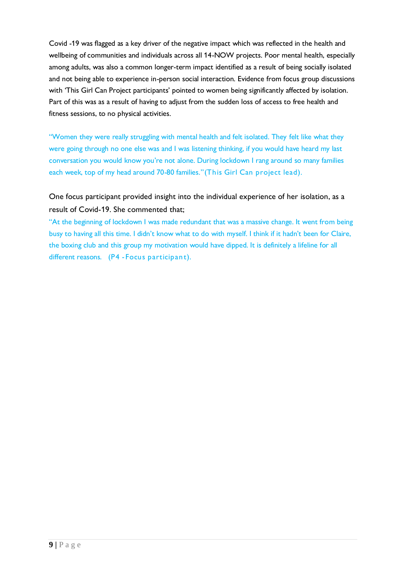Covid -19 was flagged as a key driver of the negative impact which was reflected in the health and wellbeing of communities and individuals across all 14-NOW projects. Poor mental health, especially among adults, was also a common longer-term impact identified as a result of being socially isolated and not being able to experience in-person social interaction. Evidence from focus group discussions with 'This Girl Can Project participants' pointed to women being significantly affected by isolation. Part of this was as a result of having to adjust from the sudden loss of access to free health and fitness sessions, to no physical activities.

"Women they were really struggling with mental health and felt isolated. They felt like what they were going through no one else was and I was listening thinking, if you would have heard my last conversation you would know you're not alone. During lockdown I rang around so many families each week, top of my head around 70-80 families."(This Girl Can project lead).

# One focus participant provided insight into the individual experience of her isolation, as a result of Covid-19. She commented that;

"At the beginning of lockdown I was made redundant that was a massive change. It went from being busy to having all this time. I didn't know what to do with myself. I think if it hadn't been for Claire, the boxing club and this group my motivation would have dipped. It is definitely a lifeline for all different reasons. (P4 - Focus participant).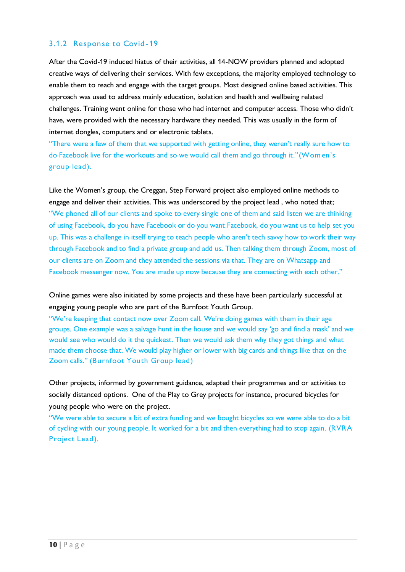#### 3.1.2 Response to Covid- 19

After the Covid-19 induced hiatus of their activities, all 14-NOW providers planned and adopted creative ways of delivering their services. With few exceptions, the majority employed technology to enable them to reach and engage with the target groups. Most designed online based activities. This approach was used to address mainly education, isolation and health and wellbeing related challenges. Training went online for those who had internet and computer access. Those who didn't have, were provided with the necessary hardware they needed. This was usually in the form of internet dongles, computers and or electronic tablets.

"There were a few of them that we supported with getting online, they weren't really sure how to do Facebook live for the workouts and so we would call them and go through it."(Wom en's group lead).

Like the Women's group, the Creggan, Step Forward project also employed online methods to engage and deliver their activities. This was underscored by the project lead , who noted that; "We phoned all of our clients and spoke to every single one of them and said listen we are thinking of using Facebook, do you have Facebook or do you want Facebook, do you want us to help set you up. This was a challenge in itself trying to teach people who aren't tech savvy how to work their way through Facebook and to find a private group and add us. Then talking them through Zoom, most of our clients are on Zoom and they attended the sessions via that. They are on Whatsapp and Facebook messenger now. You are made up now because they are connecting with each other."

Online games were also initiated by some projects and these have been particularly successful at engaging young people who are part of the Burnfoot Youth Group.

"We're keeping that contact now over Zoom call. We're doing games with them in their age groups. One example was a salvage hunt in the house and we would say 'go and find a mask' and we would see who would do it the quickest. Then we would ask them why they got things and what made them choose that. We would play higher or lower with big cards and things like that on the Zoom calls." (Burnfoot Youth Group lead)

Other projects, informed by government guidance, adapted their programmes and or activities to socially distanced options. One of the Play to Grey projects for instance, procured bicycles for young people who were on the project.

"We were able to secure a bit of extra funding and we bought bicycles so we were able to do a bit of cycling with our young people. It worked for a bit and then everything had to stop again. (RVRA Project Lead).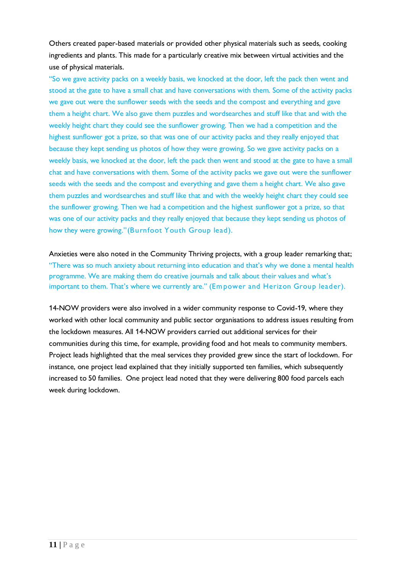Others created paper-based materials or provided other physical materials such as seeds, cooking ingredients and plants. This made for a particularly creative mix between virtual activities and the use of physical materials.

"So we gave activity packs on a weekly basis, we knocked at the door, left the pack then went and stood at the gate to have a small chat and have conversations with them. Some of the activity packs we gave out were the sunflower seeds with the seeds and the compost and everything and gave them a height chart. We also gave them puzzles and wordsearches and stuff like that and with the weekly height chart they could see the sunflower growing. Then we had a competition and the highest sunflower got a prize, so that was one of our activity packs and they really enjoyed that because they kept sending us photos of how they were growing. So we gave activity packs on a weekly basis, we knocked at the door, left the pack then went and stood at the gate to have a small chat and have conversations with them. Some of the activity packs we gave out were the sunflower seeds with the seeds and the compost and everything and gave them a height chart. We also gave them puzzles and wordsearches and stuff like that and with the weekly height chart they could see the sunflower growing. Then we had a competition and the highest sunflower got a prize, so that was one of our activity packs and they really enjoyed that because they kept sending us photos of how they were growing."(Burnfoot Youth Group lead).

Anxieties were also noted in the Community Thriving projects, with a group leader remarking that; "There was so much anxiety about returning into education and that's why we done a mental health programme. We are making them do creative journals and talk about their values and what's important to them. That's where we currently are." (Em power and Herizon Group leader).

14-NOW providers were also involved in a wider community response to Covid-19, where they worked with other local community and public sector organisations to address issues resulting from the lockdown measures. All 14-NOW providers carried out additional services for their communities during this time, for example, providing food and hot meals to community members. Project leads highlighted that the meal services they provided grew since the start of lockdown. For instance, one project lead explained that they initially supported ten families, which subsequently increased to 50 families. One project lead noted that they were delivering 800 food parcels each week during lockdown.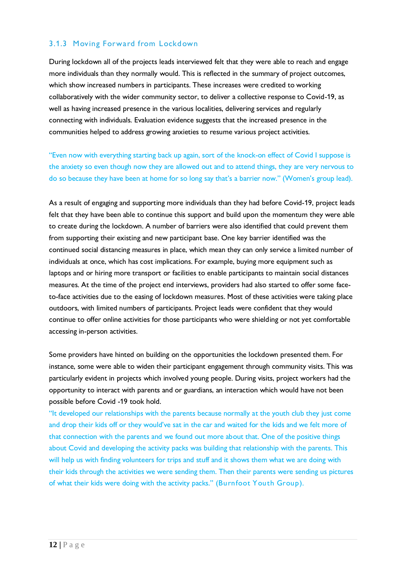### 3.1.3 Moving Forward from Lockdown

During lockdown all of the projects leads interviewed felt that they were able to reach and engage more individuals than they normally would. This is reflected in the summary of project outcomes, which show increased numbers in participants. These increases were credited to working collaboratively with the wider community sector, to deliver a collective response to Covid-19, as well as having increased presence in the various localities, delivering services and regularly connecting with individuals. Evaluation evidence suggests that the increased presence in the communities helped to address growing anxieties to resume various project activities.

"Even now with everything starting back up again, sort of the knock-on effect of Covid I suppose is the anxiety so even though now they are allowed out and to attend things, they are very nervous to do so because they have been at home for so long say that's a barrier now." (Women's group lead).

As a result of engaging and supporting more individuals than they had before Covid-19, project leads felt that they have been able to continue this support and build upon the momentum they were able to create during the lockdown. A number of barriers were also identified that could prevent them from supporting their existing and new participant base. One key barrier identified was the continued social distancing measures in place, which mean they can only service a limited number of individuals at once, which has cost implications. For example, buying more equipment such as laptops and or hiring more transport or facilities to enable participants to maintain social distances measures. At the time of the project end interviews, providers had also started to offer some faceto-face activities due to the easing of lockdown measures. Most of these activities were taking place outdoors, with limited numbers of participants. Project leads were confident that they would continue to offer online activities for those participants who were shielding or not yet comfortable accessing in-person activities.

Some providers have hinted on building on the opportunities the lockdown presented them. For instance, some were able to widen their participant engagement through community visits. This was particularly evident in projects which involved young people. During visits, project workers had the opportunity to interact with parents and or guardians, an interaction which would have not been possible before Covid -19 took hold.

"It developed our relationships with the parents because normally at the youth club they just come and drop their kids off or they would've sat in the car and waited for the kids and we felt more of that connection with the parents and we found out more about that. One of the positive things about Covid and developing the activity packs was building that relationship with the parents. This will help us with finding volunteers for trips and stuff and it shows them what we are doing with their kids through the activities we were sending them. Then their parents were sending us pictures of what their kids were doing with the activity packs." (Burnfoot Youth Group).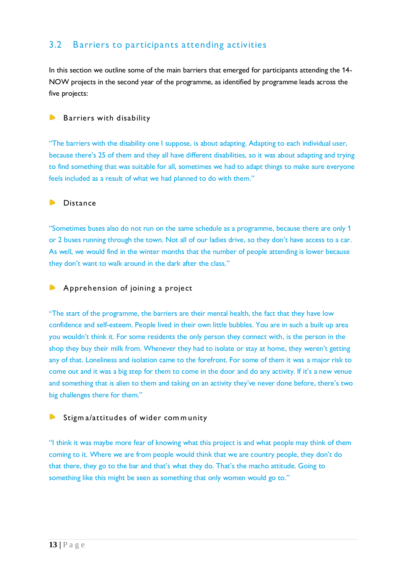## 3.2 Barriers to participants attending activities

In this section we outline some of the main barriers that emerged for participants attending the 14-NOW projects in the second year of the programme, as identified by programme leads across the five projects:

#### $\blacktriangleright$ Barriers with disability

"The barriers with the disability one I suppose, is about adapting. Adapting to each individual user, because there's 25 of them and they all have different disabilities, so it was about adapting and trying to find something that was suitable for all, sometimes we had to adapt things to make sure everyone feels included as a result of what we had planned to do with them."

#### $\blacksquare$ Distance

"Sometimes buses also do not run on the same schedule as a programme, because there are only 1 or 2 buses running through the town. Not all of our ladies drive, so they don't have access to a car. As well, we would find in the winter months that the number of people attending is lower because they don't want to walk around in the dark after the class."

#### Apprehension of joining a project

"The start of the programme, the barriers are their mental health, the fact that they have low confidence and self-esteem. People lived in their own little bubbles. You are in such a built up area you wouldn't think it. For some residents the only person they connect with, is the person in the shop they buy their milk from. Whenever they had to isolate or stay at home, they weren't getting any of that. Loneliness and isolation came to the forefront. For some of them it was a major risk to come out and it was a big step for them to come in the door and do any activity. If it's a new venue and something that is alien to them and taking on an activity they've never done before, there's two big challenges there for them."

#### $\blacktriangleright$ Stigm a/attitudes of wider community

"I think it was maybe more fear of knowing what this project is and what people may think of them coming to it. Where we are from people would think that we are country people, they don't do that there, they go to the bar and that's what they do. That's the macho attitude. Going to something like this might be seen as something that only women would go to."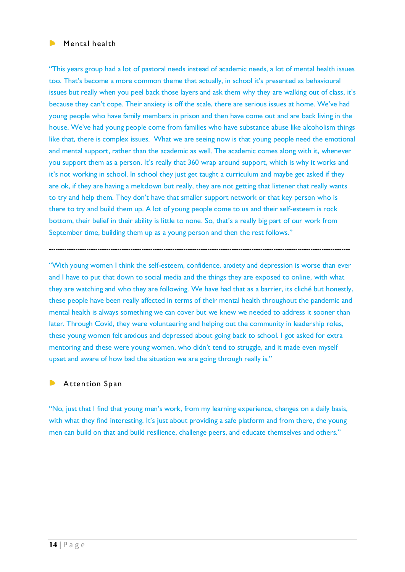#### Mental health  $\blacksquare$

"This years group had a lot of pastoral needs instead of academic needs, a lot of mental health issues too. That's become a more common theme that actually, in school it's presented as behavioural issues but really when you peel back those layers and ask them why they are walking out of class, it's because they can't cope. Their anxiety is off the scale, there are serious issues at home. We've had young people who have family members in prison and then have come out and are back living in the house. We've had young people come from families who have substance abuse like alcoholism things like that, there is complex issues. What we are seeing now is that young people need the emotional and mental support, rather than the academic as well. The academic comes along with it, whenever you support them as a person. It's really that 360 wrap around support, which is why it works and it's not working in school. In school they just get taught a curriculum and maybe get asked if they are ok, if they are having a meltdown but really, they are not getting that listener that really wants to try and help them. They don't have that smaller support network or that key person who is there to try and build them up. A lot of young people come to us and their self-esteem is rock bottom, their belief in their ability is little to none. So, that's a really big part of our work from September time, building them up as a young person and then the rest follows."

"With young women I think the self-esteem, confidence, anxiety and depression is worse than ever and I have to put that down to social media and the things they are exposed to online, with what they are watching and who they are following. We have had that as a barrier, its cliché but honestly, these people have been really affected in terms of their mental health throughout the pandemic and mental health is always something we can cover but we knew we needed to address it sooner than later. Through Covid, they were volunteering and helping out the community in leadership roles, these young women felt anxious and depressed about going back to school. I got asked for extra mentoring and these were young women, who didn't tend to struggle, and it made even myself upset and aware of how bad the situation we are going through really is."

-----------------------------------------------------------------------------------------------------------------------------------------

#### Attention Span

"No, just that I find that young men's work, from my learning experience, changes on a daily basis, with what they find interesting. It's just about providing a safe platform and from there, the young men can build on that and build resilience, challenge peers, and educate themselves and others."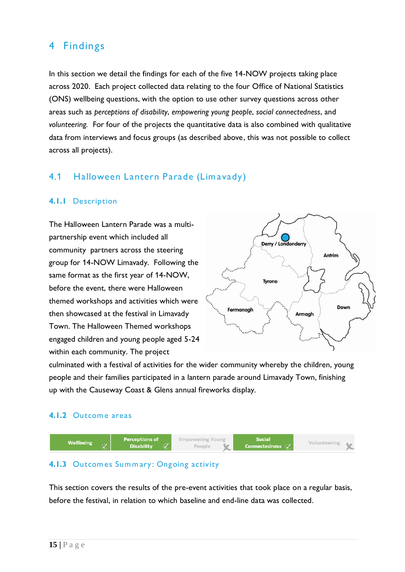# 4 Findings

In this section we detail the findings for each of the five 14-NOW projects taking place across 2020. Each project collected data relating to the four Office of National Statistics (ONS) wellbeing questions, with the option to use other survey questions across other areas such as *perceptions of disability*, *empowering young people*, *social connectedness*, and *volunteering.* For four of the projects the quantitative data is also combined with qualitative data from interviews and focus groups (as described above, this was not possible to collect across all projects).

## 4.1 Halloween Lantern Parade (Limavady)

#### **4.1.1** Description

The Halloween Lantern Parade was a multipartnership event which included all community partners across the steering group for 14-NOW Limavady. Following the same format as the first year of 14-NOW, before the event, there were Halloween themed workshops and activities which were then showcased at the festival in Limavady Town. The Halloween Themed workshops engaged children and young people aged 5-24 within each community. The project



culminated with a festival of activities for the wider community whereby the children, young people and their families participated in a lantern parade around Limavady Town, finishing up with the Causeway Coast & Glens annual fireworks display.

#### **4.1.2** Outcom e areas



### **4.1.3** Outcomes Summary: Ongoing activity

This section covers the results of the pre-event activities that took place on a regular basis, before the festival, in relation to which baseline and end-line data was collected.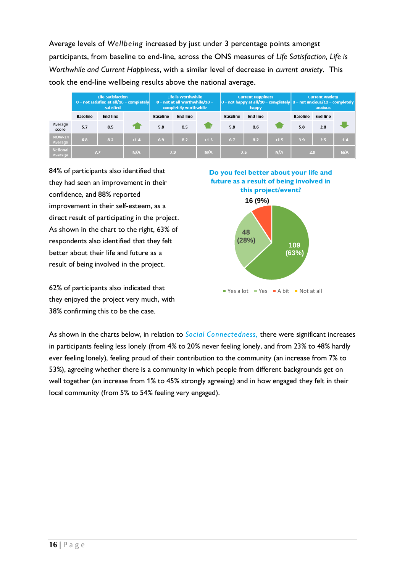Average levels of *Wellbeing* increased by just under 3 percentage points amongst participants, from baseline to end-line, across the ONS measures of *Life Satisfaction, Life is Worthwhile and Current Happiness*, with a similar level of decrease in *current anxiety*. This took the end-line wellbeing results above the national average.

|                            | <b>Life Satisfaction</b><br>$0 = not satisfied at all/10 = completely$<br>satisfied |          |            |                 | Life is Worthwhile<br>$0 = not$ at all worthwhile/10 =<br>completely worthwhile |            |                 | <b>Current Happiness</b><br>happy |        | <b>Current Anxiety</b><br>$ 0=$ not happy at all/10 = completely $ 0=$ not anxious/10 = completely<br>anxious |                 |        |
|----------------------------|-------------------------------------------------------------------------------------|----------|------------|-----------------|---------------------------------------------------------------------------------|------------|-----------------|-----------------------------------|--------|---------------------------------------------------------------------------------------------------------------|-----------------|--------|
|                            | <b>Baseline</b>                                                                     | End-line |            | <b>Baseline</b> | <b>End-line</b>                                                                 |            | <b>Baseline</b> | <b>End-line</b>                   |        | <b>Baseline</b>                                                                                               | <b>End-line</b> |        |
| Average<br>score           | 5.7                                                                                 | 8.5      | æ.         | 5.8             | 8.5                                                                             |            | 5.8             | 8.6                               |        | 5.8                                                                                                           | 2.8             |        |
| <b>NOW-14</b><br>Average   | 6.8                                                                                 | 8.2      | $+1.4$     | 6.9             | 8.2                                                                             | $+1.3$     | 6.7             | 8.2                               | $+1.5$ | 3.9                                                                                                           | 2.5             | $-1.4$ |
| <b>National</b><br>Average | N/A<br>7.7                                                                          |          | N/A<br>7.9 |                 |                                                                                 | N/A<br>7.5 |                 |                                   | 2.9    |                                                                                                               | N/A             |        |

84% of participants also identified that they had seen an improvement in their confidence, and 88% reported improvement in their self-esteem, as a direct result of participating in the project. As shown in the chart to the right, 63% of respondents also identified that they felt better about their life and future as a result of being involved in the project.

62% of participants also indicated that they enjoyed the project very much, with 38% confirming this to be the case.





As shown in the charts below, in relation to *Social Connectedness,* there were significant increases in participants feeling less lonely (from 4% to 20% never feeling lonely, and from 23% to 48% hardly ever feeling lonely), feeling proud of their contribution to the community (an increase from 7% to 53%), agreeing whether there is a community in which people from different backgrounds get on well together (an increase from 1% to 45% strongly agreeing) and in how engaged they felt in their local community (from 5% to 54% feeling very engaged).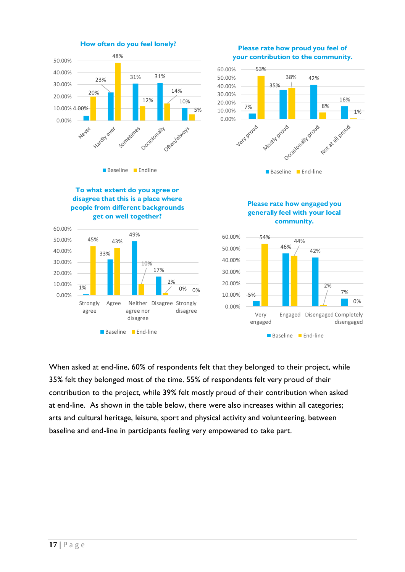

#### **Please rate how proud you feel of your contribution to the community.**



#### **To what extent do you agree or disagree that this is a place where people from different backgrounds get on well together?**







When asked at end-line, 60% of respondents felt that they belonged to their project, while 35% felt they belonged most of the time. 55% of respondents felt very proud of their contribution to the project, while 39% felt mostly proud of their contribution when asked at end-line. As shown in the table below, there were also increases within all categories; arts and cultural heritage, leisure, sport and physical activity and volunteering, between baseline and end-line in participants feeling very empowered to take part.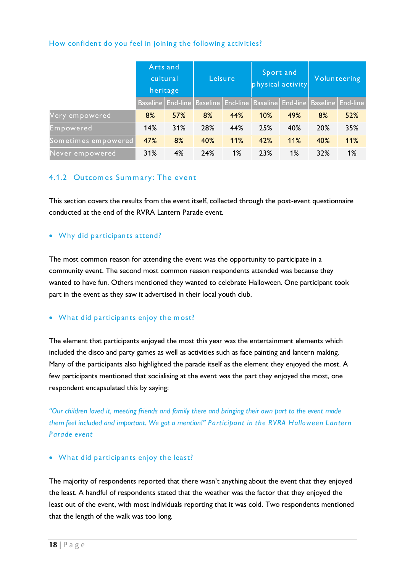#### How confident do you feel in joining the following activities?

|                     | Arts and<br>cultural<br>heritage |     |                                                                                       | Leisure | Sport and<br>physical activity |     | Volunteering |     |  |
|---------------------|----------------------------------|-----|---------------------------------------------------------------------------------------|---------|--------------------------------|-----|--------------|-----|--|
|                     |                                  |     | Baseline   End-line   Baseline   End-line   Baseline   End-line   Baseline   End-line |         |                                |     |              |     |  |
| Very empowered      | 8%                               | 57% | 8%                                                                                    | 44%     | 10%                            | 49% | 8%           | 52% |  |
| Empowered           | 14%                              | 31% | 28%                                                                                   | 44%     | 25%                            | 40% | 20%          | 35% |  |
| Sometimes empowered | 47%                              | 8%  | 40%                                                                                   | 11%     | 42%                            | 11% | 40%          | 11% |  |
| Never empowered     | 31%                              | 4%  | 24%                                                                                   | 1%      | 23%                            | 1%  | 32%          | 1%  |  |

### 4.1.2 Outcomes Summary: The event

This section covers the results from the event itself, collected through the post-event questionnaire conducted at the end of the RVRA Lantern Parade event.

#### • Why did participants attend?

The most common reason for attending the event was the opportunity to participate in a community event. The second most common reason respondents attended was because they wanted to have fun. Others mentioned they wanted to celebrate Halloween. One participant took part in the event as they saw it advertised in their local youth club.

#### • What did participants enjoy the m ost?

The element that participants enjoyed the most this year was the entertainment elements which included the disco and party games as well as activities such as face painting and lantern making. Many of the participants also highlighted the parade itself as the element they enjoyed the most. A few participants mentioned that socialising at the event was the part they enjoyed the most, one respondent encapsulated this by saying:

*"Our children loved it, meeting friends and family there and bringing their own part to the event made them feel included and important. We got a mention!" Participant in the RVRA Halloween Lantern Parade event*

#### • What did participants enjoy the least?

The majority of respondents reported that there wasn't anything about the event that they enjoyed the least. A handful of respondents stated that the weather was the factor that they enjoyed the least out of the event, with most individuals reporting that it was cold. Two respondents mentioned that the length of the walk was too long.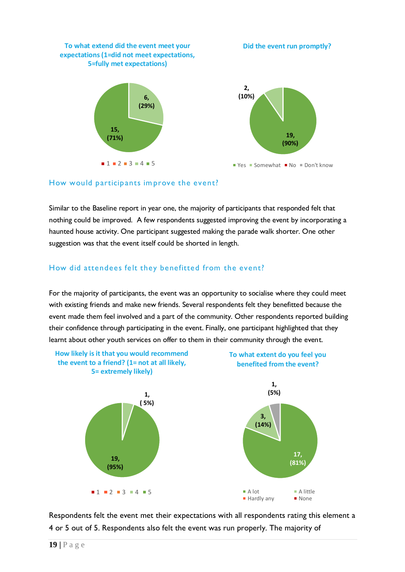

#### How would participants im prove the event?

Similar to the Baseline report in year one, the majority of participants that responded felt that nothing could be improved. A few respondents suggested improving the event by incorporating a haunted house activity. One participant suggested making the parade walk shorter. One other suggestion was that the event itself could be shorted in length.

### How did attendees felt they benefitted from the event?

For the majority of participants, the event was an opportunity to socialise where they could meet with existing friends and make new friends. Several respondents felt they benefitted because the event made them feel involved and a part of the community. Other respondents reported building their confidence through participating in the event. Finally, one participant highlighted that they learnt about other youth services on offer to them in their community through the event.



Respondents felt the event met their expectations with all respondents rating this element a 4 or 5 out of 5. Respondents also felt the event was run properly. The majority of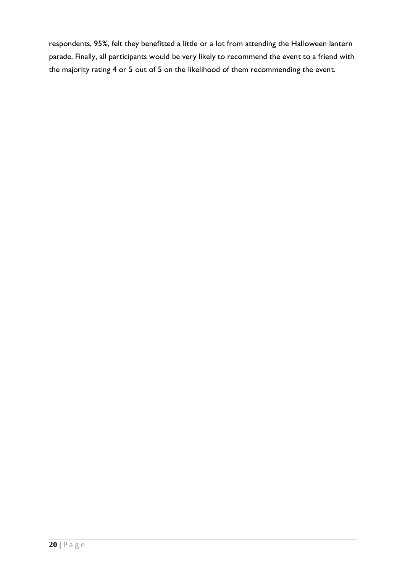respondents, 95%, felt they benefitted a little or a lot from attending the Halloween lantern parade. Finally, all participants would be very likely to recommend the event to a friend with the majority rating 4 or 5 out of 5 on the likelihood of them recommending the event.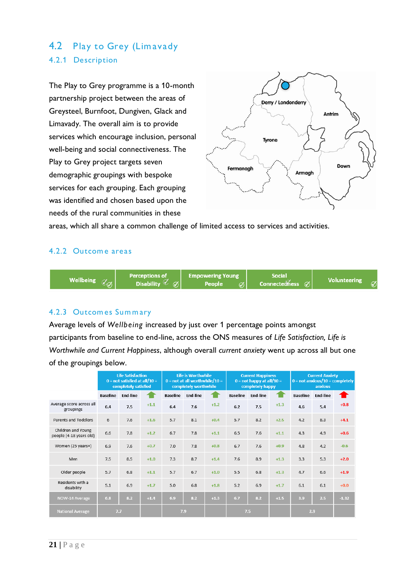# 4.2 Play to Grey (Limavady 4.2.1 Description

The Play to Grey programme is a 10-month partnership project between the areas of Greysteel, Burnfoot, Dungiven, Glack and Limavady. The overall aim is to provide services which encourage inclusion, personal well-being and social connectiveness. The Play to Grey project targets seven demographic groupings with bespoke services for each grouping. Each grouping was identified and chosen based upon the needs of the rural communities in these



areas, which all share a common challenge of limited access to services and activities.

#### 4.2.2 Outcom e areas



#### 4.2.3 Outcom es Sum m ary

Average levels of *Wellbeing* increased by just over 1 percentage points amongst participants from baseline to end-line, across the ONS measures of *Life Satisfaction, Life is Worthwhile and Current Happiness*, although overall *current anxiety* went up across all but one of the groupings below.

|                                               | <b>Life Satisfaction</b><br>$0 = not satisfied at all / 10 =$<br>completely satisfied |                 |        | Life is Worthwhile<br>$0 = not$ at all worthwhile/10 =<br>completely worthwhile |                 |        | <b>Current Happiness</b><br>$0 = not$ happy at all/10 =<br>completely happy |                 |        | <b>Current Anxiety</b><br>$0 = not$ anxious/10 = completely<br>anxious |                 |         |
|-----------------------------------------------|---------------------------------------------------------------------------------------|-----------------|--------|---------------------------------------------------------------------------------|-----------------|--------|-----------------------------------------------------------------------------|-----------------|--------|------------------------------------------------------------------------|-----------------|---------|
|                                               | <b>Baseline</b>                                                                       | <b>End-line</b> |        | <b>Baseline</b>                                                                 | <b>End-line</b> |        | <b>Baseline</b>                                                             | <b>End-line</b> |        | <b>Baseline</b>                                                        | <b>End-line</b> | ☎       |
| Average score across all<br>groupings         | 6.4                                                                                   | 7.5             | $+1.1$ | 6.4                                                                             | 7.6             | $+1.2$ | 6.2                                                                         | 7.5             | $+1.3$ | 4.6                                                                    | 5.4             | $+0.8$  |
| Parents and Toddlers                          | 6                                                                                     | 7.6             | $+1.6$ | 5.7                                                                             | 8.1             | $+0.4$ | 5.7                                                                         | 8.2             | $+2.5$ | 4.2                                                                    | 8.3             | $+4.1$  |
| Children and Young<br>people (4-18 years old) | 6.6                                                                                   | 7.8             | $+1.2$ | 6.7                                                                             | 7.8             | $+1.1$ | 6.5                                                                         | 7.6             | $+1.1$ | 4.3                                                                    | 4.9             | $+0.6$  |
| Women (25 years+)                             | 6.9                                                                                   | 7.6             | $+0.7$ | 7.0                                                                             | 7.8             | $+0.8$ | 6.7                                                                         | 7.6             | $+0.9$ | 4.8                                                                    | 4.2             | $-0.6$  |
| Men                                           | 7.5                                                                                   | 8.5             | $+1.0$ | 7.3                                                                             | 8.7             | $+1.4$ | 7.6                                                                         | 8.9             | $+1.3$ | 3.3                                                                    | 5.3             | $+2.0$  |
| Older people                                  | 5.7                                                                                   | 6.8             | $+1.1$ | 5.7                                                                             | 6.7             | $+1.0$ | 5.5                                                                         | 6.8             | $+1.3$ | 4.7                                                                    | 6.6             | $+1.9$  |
| Residents with a<br>disability                | 5.1                                                                                   | 6.9             | $+1.7$ | 5.0                                                                             | 6.8             | $+1.8$ | 5.2                                                                         | 6.9             | $+1.7$ | 6.1                                                                    | 6.1             | $+0.0$  |
| NOW-14 Average                                | 6.8                                                                                   | 8.2             | $+1.4$ | 6.9                                                                             | 8.2             | $+1.3$ | 6.7                                                                         | 8.2             | $+1.5$ | 3.9                                                                    | 2.5             | $-1.32$ |
| <b>National Average</b>                       | 7.7                                                                                   |                 |        | 7.9                                                                             |                 |        | 7.5                                                                         |                 |        | 2.9                                                                    |                 |         |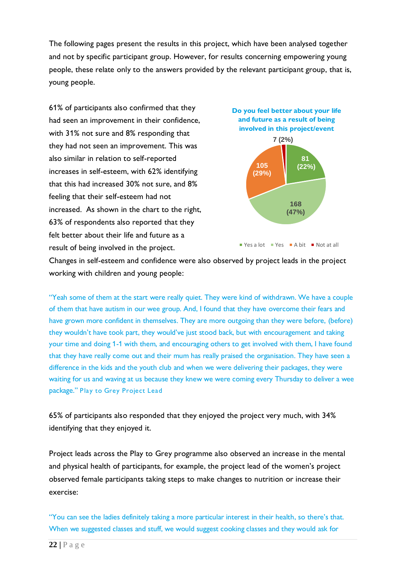The following pages present the results in this project, which have been analysed together and not by specific participant group. However, for results concerning empowering young people, these relate only to the answers provided by the relevant participant group, that is, young people.

61% of participants also confirmed that they had seen an improvement in their confidence, with 31% not sure and 8% responding that they had not seen an improvement. This was also similar in relation to self-reported increases in self-esteem, with 62% identifying that this had increased 30% not sure, and 8% feeling that their self-esteem had not increased. As shown in the chart to the right, 63% of respondents also reported that they felt better about their life and future as a result of being involved in the project.





 $\blacksquare$  Yes a lot  $\blacksquare$  Yes  $\blacksquare$  A bit  $\blacksquare$  Not at all

Changes in self-esteem and confidence were also observed by project leads in the project working with children and young people:

"Yeah some of them at the start were really quiet. They were kind of withdrawn. We have a couple of them that have autism in our wee group. And, I found that they have overcome their fears and have grown more confident in themselves. They are more outgoing than they were before, (before) they wouldn't have took part, they would've just stood back, but with encouragement and taking your time and doing 1-1 with them, and encouraging others to get involved with them, I have found that they have really come out and their mum has really praised the organisation. They have seen a difference in the kids and the youth club and when we were delivering their packages, they were waiting for us and waving at us because they knew we were coming every Thursday to deliver a wee package." Play to Grey Project Lead

65% of participants also responded that they enjoyed the project very much, with 34% identifying that they enjoyed it.

Project leads across the Play to Grey programme also observed an increase in the mental and physical health of participants, for example, the project lead of the women's project observed female participants taking steps to make changes to nutrition or increase their exercise:

"You can see the ladies definitely taking a more particular interest in their health, so there's that. When we suggested classes and stuff, we would suggest cooking classes and they would ask for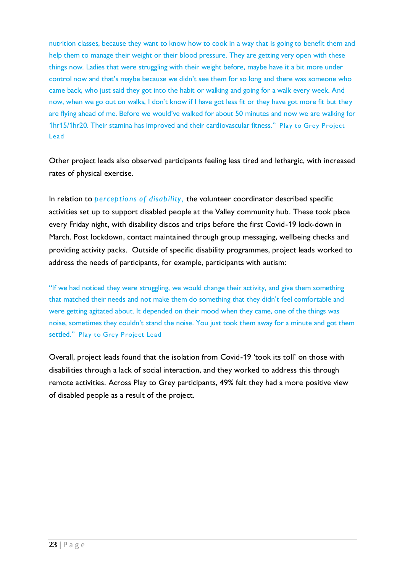nutrition classes, because they want to know how to cook in a way that is going to benefit them and help them to manage their weight or their blood pressure. They are getting very open with these things now. Ladies that were struggling with their weight before, maybe have it a bit more under control now and that's maybe because we didn't see them for so long and there was someone who came back, who just said they got into the habit or walking and going for a walk every week. And now, when we go out on walks, I don't know if I have got less fit or they have got more fit but they are flying ahead of me. Before we would've walked for about 50 minutes and now we are walking for 1hr15/1hr20. Their stamina has improved and their cardiovascular fitness." Play to Grey Project Lead

Other project leads also observed participants feeling less tired and lethargic, with increased rates of physical exercise.

In relation to *perceptions of disability*, the volunteer coordinator described specific activities set up to support disabled people at the Valley community hub. These took place every Friday night, with disability discos and trips before the first Covid-19 lock-down in March. Post lockdown, contact maintained through group messaging, wellbeing checks and providing activity packs. Outside of specific disability programmes, project leads worked to address the needs of participants, for example, participants with autism:

"If we had noticed they were struggling, we would change their activity, and give them something that matched their needs and not make them do something that they didn't feel comfortable and were getting agitated about. It depended on their mood when they came, one of the things was noise, sometimes they couldn't stand the noise. You just took them away for a minute and got them settled." Play to Grey Project Lead

Overall, project leads found that the isolation from Covid-19 'took its toll' on those with disabilities through a lack of social interaction, and they worked to address this through remote activities. Across Play to Grey participants, 49% felt they had a more positive view of disabled people as a result of the project.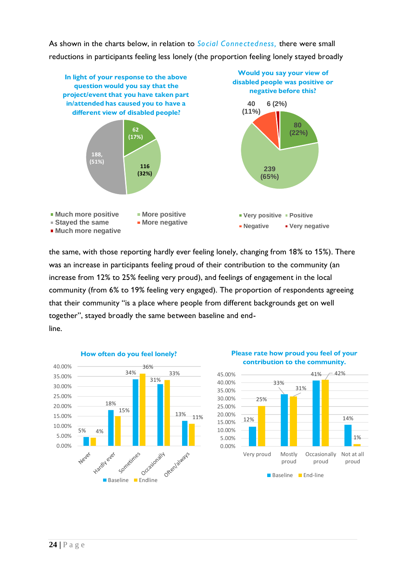As shown in the charts below, in relation to *Social Connectedness,* there were small reductions in participants feeling less lonely (the proportion feeling lonely stayed broadly



the same, with those reporting hardly ever feeling lonely, changing from 18% to 15%). There was an increase in participants feeling proud of their contribution to the community (an increase from 12% to 25% feeling very proud), and feelings of engagement in the local community (from 6% to 19% feeling very engaged). The proportion of respondents agreeing that their community "is a place where people from different backgrounds get on well together", stayed broadly the same between baseline and endline.





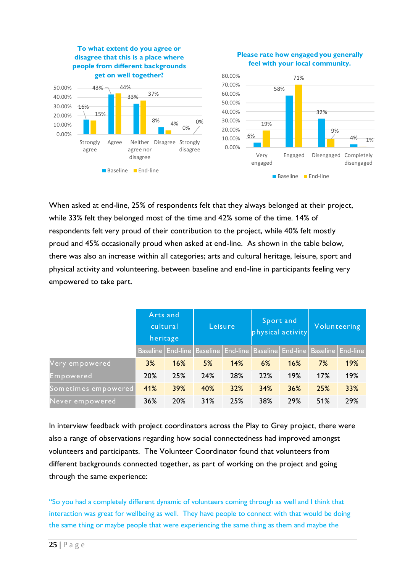

When asked at end-line, 25% of respondents felt that they always belonged at their project, while 33% felt they belonged most of the time and 42% some of the time. 14% of respondents felt very proud of their contribution to the project, while 40% felt mostly proud and 45% occasionally proud when asked at end-line. As shown in the table below, there was also an increase within all categories; arts and cultural heritage, leisure, sport and physical activity and volunteering, between baseline and end-line in participants feeling very empowered to take part.

|                     | Arts and<br>cultural<br>heritage |     |     | Leisure | Sport and<br>physical activity                                                        |     | Volunteering |     |  |
|---------------------|----------------------------------|-----|-----|---------|---------------------------------------------------------------------------------------|-----|--------------|-----|--|
|                     |                                  |     |     |         | Baseline   End-line   Baseline   End-line   Baseline   End-line   Baseline   End-line |     |              |     |  |
| Very empowered      | 3%                               | 16% | 5%  | 14%     | 6%                                                                                    | 16% | 7%           | 19% |  |
| Empowered           | 20%                              | 25% | 24% | 28%     | 22%                                                                                   | 19% | 17%          | 19% |  |
| Sometimes empowered | 41%                              | 39% | 40% | 32%     | 34%                                                                                   | 36% | 25%          | 33% |  |
| Never empowered     | 36%<br>20%                       |     | 31% | 25%     | 38%                                                                                   | 29% | 51%          | 29% |  |

In interview feedback with project coordinators across the Play to Grey project, there were also a range of observations regarding how social connectedness had improved amongst volunteers and participants. The Volunteer Coordinator found that volunteers from different backgrounds connected together, as part of working on the project and going through the same experience:

"So you had a completely different dynamic of volunteers coming through as well and I think that interaction was great for wellbeing as well. They have people to connect with that would be doing the same thing or maybe people that were experiencing the same thing as them and maybe the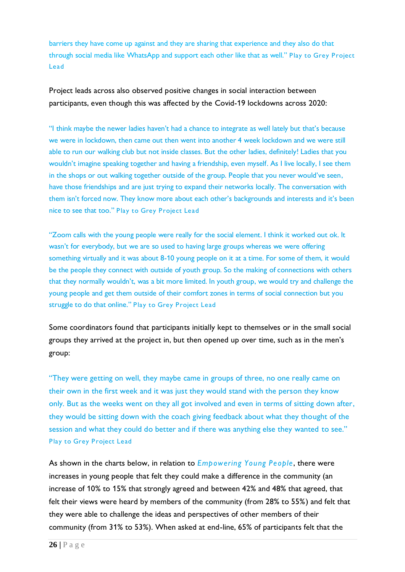barriers they have come up against and they are sharing that experience and they also do that through social media like WhatsApp and support each other like that as well." Play to Grey Project Lead

Project leads across also observed positive changes in social interaction between participants, even though this was affected by the Covid-19 lockdowns across 2020:

"I think maybe the newer ladies haven't had a chance to integrate as well lately but that's because we were in lockdown, then came out then went into another 4 week lockdown and we were still able to run our walking club but not inside classes. But the other ladies, definitely! Ladies that you wouldn't imagine speaking together and having a friendship, even myself. As I live locally, I see them in the shops or out walking together outside of the group. People that you never would've seen, have those friendships and are just trying to expand their networks locally. The conversation with them isn't forced now. They know more about each other's backgrounds and interests and it's been nice to see that too." Play to Grey Project Lead

"Zoom calls with the young people were really for the social element. I think it worked out ok. It wasn't for everybody, but we are so used to having large groups whereas we were offering something virtually and it was about 8-10 young people on it at a time. For some of them, it would be the people they connect with outside of youth group. So the making of connections with others that they normally wouldn't, was a bit more limited. In youth group, we would try and challenge the young people and get them outside of their comfort zones in terms of social connection but you struggle to do that online." Play to Grey Project Lead

Some coordinators found that participants initially kept to themselves or in the small social groups they arrived at the project in, but then opened up over time, such as in the men's group:

"They were getting on well, they maybe came in groups of three, no one really came on their own in the first week and it was just they would stand with the person they know only. But as the weeks went on they all got involved and even in terms of sitting down after, they would be sitting down with the coach giving feedback about what they thought of the session and what they could do better and if there was anything else they wanted to see." Play to Grey Project Lead

As shown in the charts below, in relation to *Empowering Young People*, there were increases in young people that felt they could make a difference in the community (an increase of 10% to 15% that strongly agreed and between 42% and 48% that agreed, that felt their views were heard by members of the community (from 28% to 55%) and felt that they were able to challenge the ideas and perspectives of other members of their community (from 31% to 53%). When asked at end-line, 65% of participants felt that the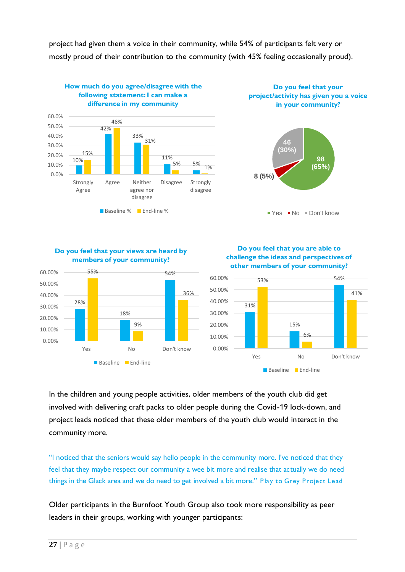project had given them a voice in their community, while 54% of participants felt very or mostly proud of their contribution to the community (with 45% feeling occasionally proud).





**Do you feel that you are able to challenge the ideas and perspectives of other members of your community?**



In the children and young people activities, older members of the youth club did get involved with delivering craft packs to older people during the Covid-19 lock-down, and project leads noticed that these older members of the youth club would interact in the community more.

"I noticed that the seniors would say hello people in the community more. I've noticed that they feel that they maybe respect our community a wee bit more and realise that actually we do need things in the Glack area and we do need to get involved a bit more." Play to Grey Project Lead

Older participants in the Burnfoot Youth Group also took more responsibility as peer leaders in their groups, working with younger participants: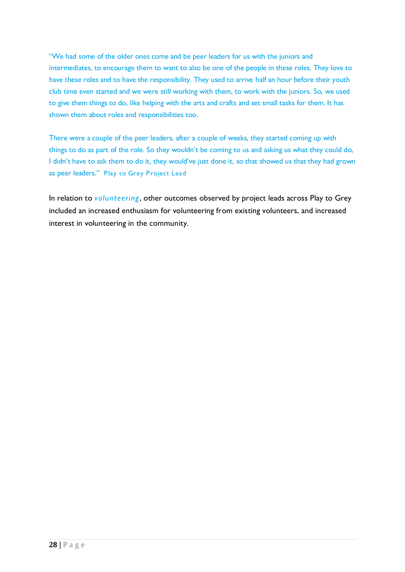"We had some of the older ones come and be peer leaders for us with the juniors and intermediates, to encourage them to want to also be one of the people in these roles. They love to have these roles and to have the responsibility. They used to arrive half an hour before their youth club time even started and we were still working with them, to work with the juniors. So, we used to give them things to do, like helping with the arts and crafts and set small tasks for them. It has shown them about roles and responsibilities too.

There were a couple of the peer leaders, after a couple of weeks, they started coming up with things to do as part of the role. So they wouldn't be coming to us and asking us what they could do, I didn't have to ask them to do it, they would've just done it, so that showed us that they had grown as peer leaders." Play to Grey Project Lead

In relation to *volunteering*, other outcomes observed by project leads across Play to Grey included an increased enthusiasm for volunteering from existing volunteers, and increased interest in volunteering in the community.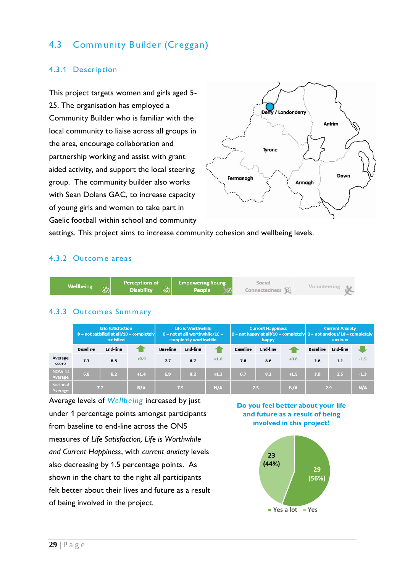# 4.3 Community Builder (Creggan)

### 4.3.1 Description

This project targets women and girls aged 5- 25. The organisation has employed a Community Builder who is familiar with the local community to liaise across all groups in the area, encourage collaboration and partnership working and assist with grant aided activity, and support the local steering group. The community builder also works with Sean Dolans GAC, to increase capacity of young girls and women to take part in Gaelic football within school and community



settings. This project aims to increase community cohesion and wellbeing levels.

### 4.3.2 Outcom e areas



#### 4.3.3 Outcom es Sum m ary

|                            | <b>Life Satisfaction</b><br>$0 = not satisfied at all/10 = completely$<br>satisfied |          |            |                 | Life is Worthwhile<br>$0 = not$ at all worthwhile/10 =<br>completely worthwhile |            |                 | <b>Current Happiness</b><br>happy |        | <b>Current Anxiety</b><br>$\vert$ 0 = not happy at all/10 = completely $\vert$ 0 = not anxious/10 = completely<br>anxious |                 |        |
|----------------------------|-------------------------------------------------------------------------------------|----------|------------|-----------------|---------------------------------------------------------------------------------|------------|-----------------|-----------------------------------|--------|---------------------------------------------------------------------------------------------------------------------------|-----------------|--------|
|                            | <b>Baseline</b>                                                                     | End-line |            | <b>Baseline</b> | <b>End-line</b>                                                                 |            | <b>Baseline</b> | <b>End-line</b>                   |        | <b>Baseline</b>                                                                                                           | <b>End-line</b> |        |
| Average<br>score           | 7.7                                                                                 | 8.6      | $+0.9$     | 7.7             | 8.7                                                                             | $+1.0$     | 7.8             | 8.6                               | $+0.8$ | 2.6                                                                                                                       | 1.1             | $-1.5$ |
| <b>NOW-14</b><br>Average   | 6.8                                                                                 | 8.2      | $+1.4$     | 6.91            | 8.2                                                                             | $+1.3$     | 6.7             | 8.2                               | $+1.5$ | 3.9                                                                                                                       | 2.5             | $-1.3$ |
| <b>National</b><br>Average | N/A<br>7.7                                                                          |          | N/A<br>7.9 |                 |                                                                                 | N/A<br>7.5 |                 |                                   | 2.9    |                                                                                                                           | N/A             |        |

Average levels of *Wellbeing* increased by just under 1 percentage points amongst participants from baseline to end-line across the ONS measures of *Life Satisfaction, Life is Worthwhile and Current Happiness*, with *current anxiety* levels also decreasing by 1.5 percentage points. As shown in the chart to the right all participants felt better about their lives and future as a result of being involved in the project.



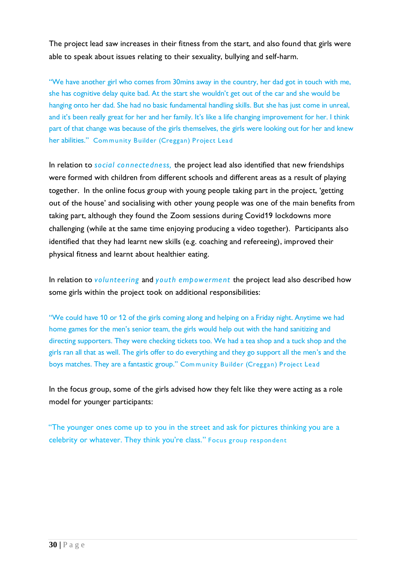The project lead saw increases in their fitness from the start, and also found that girls were able to speak about issues relating to their sexuality, bullying and self-harm.

"We have another girl who comes from 30mins away in the country, her dad got in touch with me, she has cognitive delay quite bad. At the start she wouldn't get out of the car and she would be hanging onto her dad. She had no basic fundamental handling skills. But she has just come in unreal, and it's been really great for her and her family. It's like a life changing improvement for her. I think part of that change was because of the girls themselves, the girls were looking out for her and knew her abilities." Com munity Builder (Creggan) Project Lead

In relation to *social connectedness,* the project lead also identified that new friendships were formed with children from different schools and different areas as a result of playing together. In the online focus group with young people taking part in the project, 'getting out of the house' and socialising with other young people was one of the main benefits from taking part, although they found the Zoom sessions during Covid19 lockdowns more challenging (while at the same time enjoying producing a video together). Participants also identified that they had learnt new skills (e.g. coaching and refereeing), improved their physical fitness and learnt about healthier eating.

In relation to *volunteering* and *youth empowerment* the project lead also described how some girls within the project took on additional responsibilities:

"We could have 10 or 12 of the girls coming along and helping on a Friday night. Anytime we had home games for the men's senior team, the girls would help out with the hand sanitizing and directing supporters. They were checking tickets too. We had a tea shop and a tuck shop and the girls ran all that as well. The girls offer to do everything and they go support all the men's and the boys matches. They are a fantastic group." Com m unity Builder (Creggan) Project Lead

In the focus group, some of the girls advised how they felt like they were acting as a role model for younger participants:

"The younger ones come up to you in the street and ask for pictures thinking you are a celebrity or whatever. They think you're class." Focus group respondent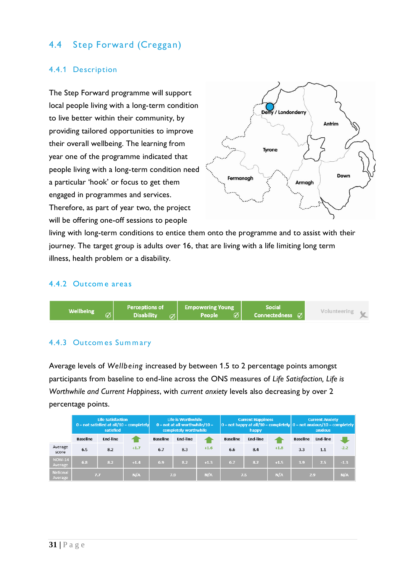# 4.4 Step Forward (Creggan)

#### 4.4.1 Description

The Step Forward programme will support local people living with a long-term condition to live better within their community, by providing tailored opportunities to improve their overall wellbeing. The learning from year one of the programme indicated that people living with a long-term condition need a particular 'hook' or focus to get them engaged in programmes and services. Therefore, as part of year two, the project will be offering one-off sessions to people



living with long-term conditions to entice them onto the programme and to assist with their journey. The target group is adults over 16, that are living with a life limiting long term illness, health problem or a disability.

#### 4.4.2 Outcom e areas



#### 4.4.3 Outcom es Sum m ary

Average levels of *Wellbeing* increased by between 1.5 to 2 percentage points amongst participants from baseline to end-line across the ONS measures of *Life Satisfaction, Life is Worthwhile and Current Happiness*, with *current anxiety* levels also decreasing by over 2 percentage points.

|                                   | <b>Life Satisfaction</b><br>$0 =$ not satisfied at all/10 = completely<br>satisfied |                 |        | Life is Worthwhile<br>$0 = not$ at all worthwhile/10 =<br>completely worthwhile |     |        |                                    | <b>Current Happiness</b><br>happy |        | <b>Current Anxiety</b><br>$\vert 0$ = not happy at all/10 = completely $\vert 0$ = not anxious/10 = completely<br>anxious |     |        |
|-----------------------------------|-------------------------------------------------------------------------------------|-----------------|--------|---------------------------------------------------------------------------------|-----|--------|------------------------------------|-----------------------------------|--------|---------------------------------------------------------------------------------------------------------------------------|-----|--------|
|                                   | <b>Baseline</b>                                                                     | <b>End-line</b> |        | <b>End-line</b><br><b>Baseline</b>                                              |     |        | <b>End-line</b><br><b>Baseline</b> |                                   |        | <b>Baseline</b>                                                                                                           |     |        |
| Average<br>score                  | 6.5                                                                                 | 8.2             | $+1.7$ | 6.7                                                                             | 8.3 | $+1.6$ | 6.6                                | 8.4                               | $+1.8$ | 3.3                                                                                                                       | 1.1 | $-2.2$ |
| <b>NOW-14</b><br>Average          | 6.8                                                                                 | 8.2             | $+1.4$ | 6.9                                                                             | 8.2 | $+1.3$ | 6.7                                | 8.2                               | $+1.5$ | 3.9                                                                                                                       | 2.5 | $-1.3$ |
| <b>National</b><br><b>Average</b> |                                                                                     | 7.7             | N/A    | 7.9                                                                             |     | N/A    | 7.5                                |                                   | N/A    | 2.9                                                                                                                       |     | N/A    |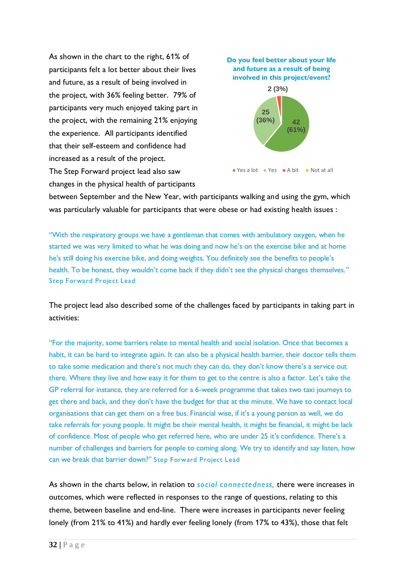As shown in the chart to the right, 61% of participants felt a lot better about their lives and future, as a result of being involved in the project, with 36% feeling better. 79% of participants very much enjoyed taking part in the project, with the remaining 21% enjoying the experience. All participants identified that their self-esteem and confidence had increased as a result of the project. The Step Forward project lead also saw changes in the physical health of participants



between September and the New Year, with participants walking and using the gym, which was particularly valuable for participants that were obese or had existing health issues :

"With the respiratory groups we have a gentleman that comes with ambulatory oxygen, when he started we was very limited to what he was doing and now he's on the exercise bike and at home he's still doing his exercise bike, and doing weights. You definitely see the benefits to people's health. To be honest, they wouldn't come back if they didn't see the physical changes themselves." Step Forward Project Lead

The project lead also described some of the challenges faced by participants in taking part in activities:

"For the majority, some barriers relate to mental health and social isolation. Once that becomes a habit, it can be hard to integrate again. It can also be a physical health barrier, their doctor tells them to take some medication and there's not much they can do, they don't know there's a service out there. Where they live and how easy it for them to get to the centre is also a factor. Let's take the GP referral for instance, they are referred for a 6-week programme that takes two taxi journeys to get there and back, and they don't have the budget for that at the minute. We have to contact local organisations that can get them on a free bus. Financial wise, if it's a young person as well, we do take referrals for young people. It might be their mental health, it might be financial, it might be lack of confidence. Most of people who get referred here, who are under 25 it's confidence. There's a number of challenges and barriers for people to coming along. We try to identify and say listen, how can we break that barrier down?" Step Forward Project Lead

As shown in the charts below, in relation to *social connectedness,* there were increases in outcomes, which were reflected in responses to the range of questions, relating to this theme, between baseline and end-line. There were increases in participants never feeling lonely (from 21% to 41%) and hardly ever feeling lonely (from 17% to 43%), those that felt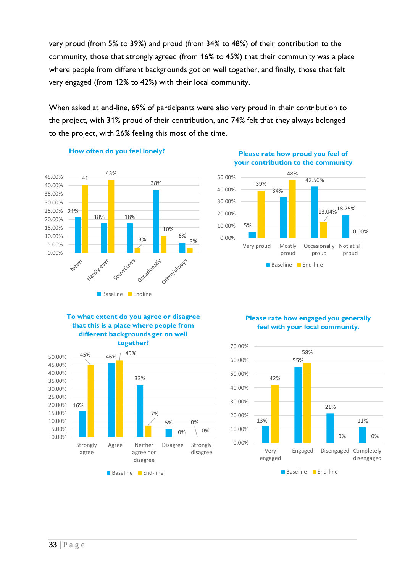very proud (from 5% to 39%) and proud (from 34% to 48%) of their contribution to the community, those that strongly agreed (from 16% to 45%) that their community was a place where people from different backgrounds got on well together, and finally, those that felt very engaged (from 12% to 42%) with their local community.

When asked at end-line, 69% of participants were also very proud in their contribution to the project, with 31% proud of their contribution, and 74% felt that they always belonged to the project, with 26% feeling this most of the time.



#### **How often do you feel lonely?**

**Please rate how proud you feel of your contribution to the community**



#### **To what extent do you agree or disagree that this is a place where people from different backgrounds get on well together?**



#### **Please rate how engaged you generally feel with your local community.**

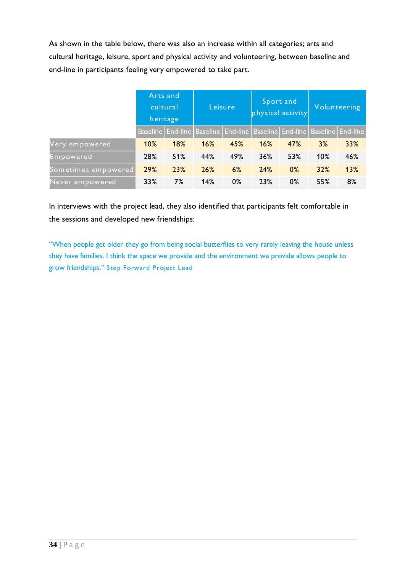As shown in the table below, there was also an increase within all categories; arts and cultural heritage, leisure, sport and physical activity and volunteering, between baseline and end-line in participants feeling very empowered to take part.

|                     | Arts and<br>cultural<br>heritage |     |     | Leisure                                                                               | physical activity | Sport and | Volunteering |     |  |
|---------------------|----------------------------------|-----|-----|---------------------------------------------------------------------------------------|-------------------|-----------|--------------|-----|--|
|                     |                                  |     |     | Baseline   End-line   Baseline   End-line   Baseline   End-line   Baseline   End-line |                   |           |              |     |  |
| Very empowered      | 10%                              | 18% | 16% | 45%                                                                                   | 16%               | 47%       | 3%           | 33% |  |
| Empowered           | 28%                              | 51% | 44% | 49%                                                                                   | 36%               | 53%       | 10%          | 46% |  |
| Sometimes empowered | 29%                              | 23% | 26% | 6%                                                                                    | 24%               | 0%        | 32%          | 13% |  |
| Never empowered     | 33%                              | 7%  | 14% | 0%                                                                                    | 23%               | 0%        | 55%          | 8%  |  |

In interviews with the project lead, they also identified that participants felt comfortable in the sessions and developed new friendships:

"When people get older they go from being social butterflies to very rarely leaving the house unless they have families. I think the space we provide and the environment we provide allows people to grow friendships." Step Forward Project Lead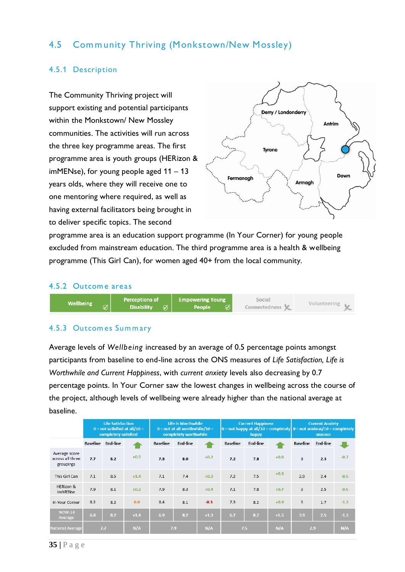# 4.5 Community Thriving (Monkstown/New Mossley)

#### 4.5.1 Description

The Community Thriving project will support existing and potential participants within the Monkstown/ New Mossley communities. The activities will run across the three key programme areas. The first programme area is youth groups (HERizon &  $imMENse$ , for young people aged  $11 - 13$ years olds, where they will receive one to one mentoring where required, as well as having external facilitators being brought in to deliver specific topics. The second



programme area is an education support programme (In Your Corner) for young people excluded from mainstream education. The third programme area is a health & wellbeing programme (This Girl Can), for women aged 40+ from the local community.

#### 4.5.2 Outcom e areas



#### 4.5.3 Outcom es Sum m ary

Average levels of *Wellbeing* increased by an average of 0.5 percentage points amongst participants from baseline to end-line across the ONS measures of *Life Satisfaction, Life is Worthwhile and Current Happiness*, with *current anxiety* levels also decreasing by 0.7 percentage points. In Your Corner saw the lowest changes in wellbeing across the course of the project, although levels of wellbeing were already higher than the national average at baseline.

|                                                | <b>Life Satisfaction</b><br>$0 = not satisfied at all/10 =$<br>completely satisfied |                          |        | <b>Life is Worthwhile</b><br>$0 =$ not at all worthwhile/10 =<br>completely worthwhile |                 |        |                 | <b>Current Happiness</b><br>happy |        | <b>Current Anxiety</b><br>$\vert 0$ = not happy at all/10 = completely $\vert 0$ = not anxious/10 = completely<br>anxious |                 |        |
|------------------------------------------------|-------------------------------------------------------------------------------------|--------------------------|--------|----------------------------------------------------------------------------------------|-----------------|--------|-----------------|-----------------------------------|--------|---------------------------------------------------------------------------------------------------------------------------|-----------------|--------|
|                                                |                                                                                     | <b>Baseline</b> End-line |        | <b>Baseline</b>                                                                        | <b>End-line</b> |        | <b>Baseline</b> | <b>End-line</b>                   |        | Baseline                                                                                                                  | <b>End-line</b> |        |
| Average score<br>across all three<br>groupings | 7.7                                                                                 | 8.2                      | $+0.5$ | 7.8                                                                                    | 8.0             | $+0.2$ | 7.2             | 7.8                               | $+0.6$ | 3                                                                                                                         | 2.3             | $-0.7$ |
| This Girl Can                                  | 7.1                                                                                 | 8.5                      | $+1.4$ | 7.1                                                                                    | 7.4             | $+0.3$ | 7.2             | 7.5                               | $+0.3$ | 2.9                                                                                                                       | 2.4             | $-0.5$ |
| HERizon &<br>imMENse                           | 7.9                                                                                 | 8.1                      | $+0.2$ | 7.9                                                                                    | 8.3             | $+0.4$ | 7.1             | 7.8                               | $+0.7$ | 3                                                                                                                         | 2.5             | $-0.5$ |
| In Your Corner                                 | 8.2                                                                                 | 8.2                      | 0.0    | 8.4                                                                                    | 8.1             | $-0.3$ | 7.3             | 8.2                               | $+0.9$ | 3                                                                                                                         | 1.7             | $-1.3$ |
| <b>NOW-14</b><br>Average                       | 6.8                                                                                 | 8.2                      | $+1.4$ | 6.9                                                                                    | 8.2             | $+1.3$ | 6.7             | 8.2                               | $+1.5$ | 3.9                                                                                                                       | 2.5             | $-1.3$ |
| <b>National Average</b>                        |                                                                                     | 7.7                      | N/A    | 7.9                                                                                    |                 | N/A    | 7.5             |                                   | N/A    | 2.9                                                                                                                       |                 | N/A    |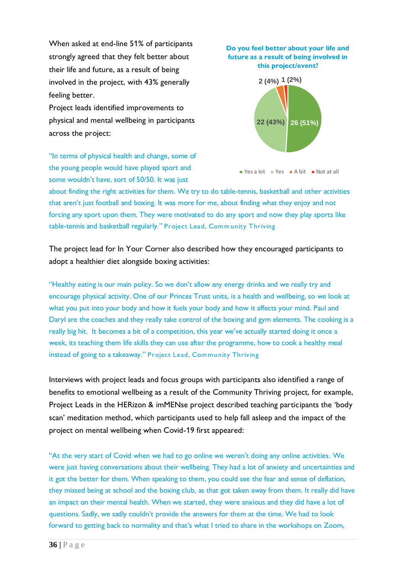When asked at end-line 51% of participants strongly agreed that they felt better about their life and future, as a result of being involved in the project, with 43% generally feeling better.

Project leads identified improvements to physical and mental wellbeing in participants across the project:

"In terms of physical health and change, some of the young people would have played sport and some wouldn't have, sort of 50/50. It was just





 $\blacksquare$  Yes a lot  $\blacksquare$  Yes  $\blacksquare$  A bit  $\blacksquare$  Not at all

about finding the right activities for them. We try to do table-tennis, basketball and other activities that aren't just football and boxing. It was more for me, about finding what they enjoy and not forcing any sport upon them. They were motivated to do any sport and now they play sports like table-tennis and basketball regularly." Project Lead, Comm unity Thriving

The project lead for In Your Corner also described how they encouraged participants to adopt a healthier diet alongside boxing activities:

"Healthy eating is our main policy. So we don't allow any energy drinks and we really try and encourage physical activity. One of our Princes Trust units, is a health and wellbeing, so we look at what you put into your body and how it fuels your body and how it affects your mind. Paul and Daryl are the coaches and they really take control of the boxing and gym elements. The cooking is a really big hit. It becomes a bit of a competition, this year we've actually started doing it once a week, its teaching them life skills they can use after the programme, how to cook a healthy meal instead of going to a takeaway." Project Lead, Com munity Thriving

Interviews with project leads and focus groups with participants also identified a range of benefits to emotional wellbeing as a result of the Community Thriving project, for example, Project Leads in the HERizon & imMENse project described teaching participants the 'body scan' meditation method, which participants used to help fall asleep and the impact of the project on mental wellbeing when Covid-19 first appeared:

"At the very start of Covid when we had to go online we weren't doing any online activities. We were just having conversations about their wellbeing. They had a lot of anxiety and uncertainties and it got the better for them. When speaking to them, you could see the fear and sense of deflation, they missed being at school and the boxing club, as that got taken away from them. It really did have an impact on their mental health. When we started, they were anxious and they did have a lot of questions. Sadly, we sadly couldn't provide the answers for them at the time. We had to look forward to getting back to normality and that's what I tried to share in the workshops on Zoom,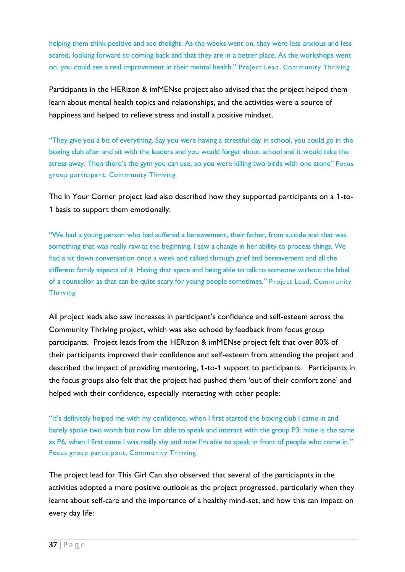helping them think positive and see thelight. As the weeks went on, they were less anxious and less scared, looking forward to coming back and that they are in a better place. As the workshops went on, you could see a real improvement in their mental health." Project Lead, Comm unity Thriving

Participants in the HERizon & imMENse project also advised that the project helped them learn about mental health topics and relationships, and the activities were a source of happiness and helped to relieve stress and install a positive mindset.

"They give you a bit of everything. Say you were having a stressful day in school, you could go in the boxing club after and sit with the leaders and you would forget about school and it would take the stress away. Then there's the gym you can use, so you were killing two birds with one stone" Focus group participant, Comm unity Thriving

The In Your Corner project lead also described how they supported participants on a 1-to-1 basis to support them emotionally:

"We had a young person who had suffered a bereavement, their father, from suicide and that was something that was really raw at the beginning, I saw a change in her ability to process things. We had a sit down conversation once a week and talked through grief and bereavement and all the different family aspects of it. Having that space and being able to talk to someone without the label of a counsellor as that can be quite scary for young people sometimes." Project Lead, Comm unity Thriving

All project leads also saw increases in participant's confidence and self-esteem across the Community Thriving project, which was also echoed by feedback from focus group participants. Project leads from the HERizon & imMENse project felt that over 80% of their participants improved their confidence and self-esteem from attending the project and described the impact of providing mentoring, 1-to-1 support to participants. Participants in the focus groups also felt that the project had pushed them 'out of their comfort zone' and helped with their confidence, especially interacting with other people:

"It's definitely helped me with my confidence, when I first started the boxing club I came in and barely spoke two words but now I'm able to speak and interact with the group P3: mine is the same as P6, when I first came I was really shy and now I'm able to speak in front of people who come in." Focus group participant, Com munity Thriving

The project lead for This Girl Can also observed that several of the particiapnts in the activities adopted a more positive outlook as the project progressed, particularly when they learnt about self-care and the importance of a healthy mind-set, and how this can impact on every day life: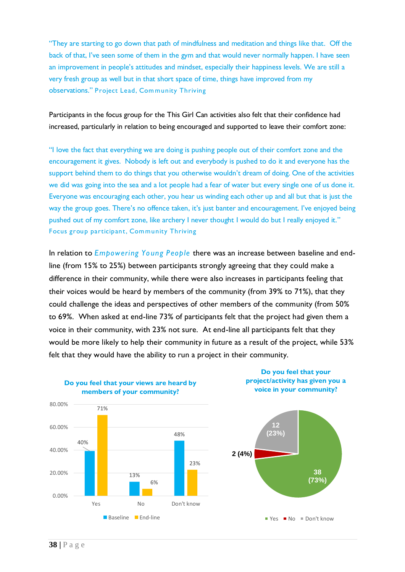"They are starting to go down that path of mindfulness and meditation and things like that. Off the back of that, I've seen some of them in the gym and that would never normally happen. I have seen an improvement in people's attitudes and mindset, especially their happiness levels. We are still a very fresh group as well but in that short space of time, things have improved from my observations." Project Lead, Com munity Thriving

Participants in the focus group for the This Girl Can activities also felt that their confidence had increased, particularly in relation to being encouraged and supported to leave their comfort zone:

"I love the fact that everything we are doing is pushing people out of their comfort zone and the encouragement it gives. Nobody is left out and everybody is pushed to do it and everyone has the support behind them to do things that you otherwise wouldn't dream of doing. One of the activities we did was going into the sea and a lot people had a fear of water but every single one of us done it. Everyone was encouraging each other, you hear us winding each other up and all but that is just the way the group goes. There's no offence taken, it's just banter and encouragement. I've enjoyed being pushed out of my comfort zone, like archery I never thought I would do but I really enjoyed it." Focus group participant, Com munity Thriving

In relation to *Empowering Young People* there was an increase between baseline and endline (from 15% to 25%) between participants strongly agreeing that they could make a difference in their community, while there were also increases in participants feeling that their voices would be heard by members of the community (from 39% to 71%), that they could challenge the ideas and perspectives of other members of the community (from 50% to 69%. When asked at end-line 73% of participants felt that the project had given them a voice in their community, with 23% not sure. At end-line all participants felt that they would be more likely to help their community in future as a result of the project, while 53% felt that they would have the ability to run a project in their community.



**Do you feel that your project/activity has given you a voice in your community?**

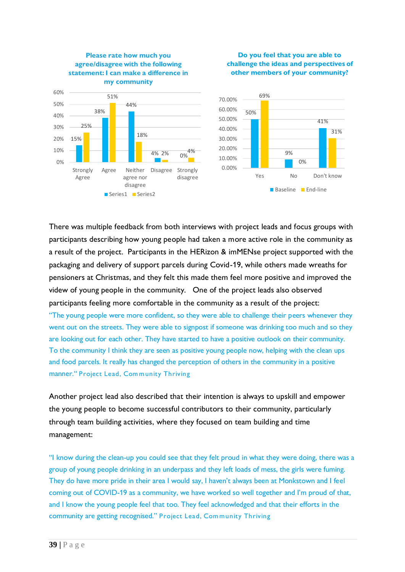

There was multiple feedback from both interviews with project leads and focus groups with participants describing how young people had taken a more active role in the community as a result of the project. Participants in the HERizon & imMENse project supported with the packaging and delivery of support parcels during Covid-19, while others made wreaths for pensioners at Christmas, and they felt this made them feel more positive and improved the videw of young people in the community. One of the project leads also observed participants feeling more comfortable in the community as a result of the project: "The young people were more confident, so they were able to challenge their peers whenever they went out on the streets. They were able to signpost if someone was drinking too much and so they are looking out for each other. They have started to have a positive outlook on their community. To the community I think they are seen as positive young people now, helping with the clean ups and food parcels. It really has changed the perception of others in the community in a positive manner." Project Lead, Com m unity Thriving

Another project lead also described that their intention is always to upskill and empower the young people to become successful contributors to their community, particularly through team building activities, where they focused on team building and time management:

"I know during the clean-up you could see that they felt proud in what they were doing, there was a group of young people drinking in an underpass and they left loads of mess, the girls were fuming. They do have more pride in their area I would say, I haven't always been at Monkstown and I feel coming out of COVID-19 as a community, we have worked so well together and I'm proud of that, and I know the young people feel that too. They feel acknowledged and that their efforts in the community are getting recognised." Project Lead, Com munity Thriving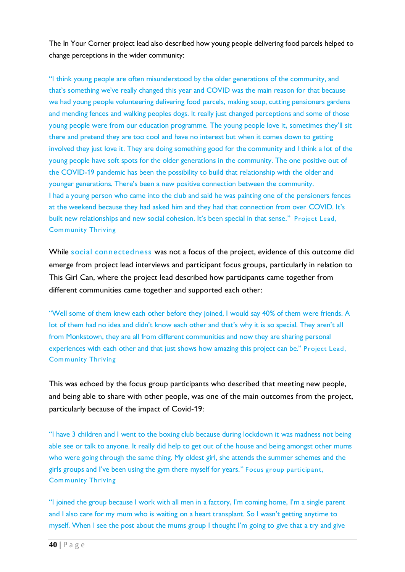The In Your Corner project lead also described how young people delivering food parcels helped to change perceptions in the wider community:

"I think young people are often misunderstood by the older generations of the community, and that's something we've really changed this year and COVID was the main reason for that because we had young people volunteering delivering food parcels, making soup, cutting pensioners gardens and mending fences and walking peoples dogs. It really just changed perceptions and some of those young people were from our education programme. The young people love it, sometimes they'll sit there and pretend they are too cool and have no interest but when it comes down to getting involved they just love it. They are doing something good for the community and I think a lot of the young people have soft spots for the older generations in the community. The one positive out of the COVID-19 pandemic has been the possibility to build that relationship with the older and younger generations. There's been a new positive connection between the community. I had a young person who came into the club and said he was painting one of the pensioners fences at the weekend because they had asked him and they had that connection from over COVID. It's built new relationships and new social cohesion. It's been special in that sense." Project Lead, Com munity Thriving

While social connectedness was not a focus of the project, evidence of this outcome did emerge from project lead interviews and participant focus groups, particularly in relation to This Girl Can, where the project lead described how participants came together from different communities came together and supported each other:

"Well some of them knew each other before they joined, I would say 40% of them were friends. A lot of them had no idea and didn't know each other and that's why it is so special. They aren't all from Monkstown, they are all from different communities and now they are sharing personal experiences with each other and that just shows how amazing this project can be." Project Lead, Com munity Thriving

This was echoed by the focus group participants who described that meeting new people, and being able to share with other people, was one of the main outcomes from the project, particularly because of the impact of Covid-19:

"I have 3 children and I went to the boxing club because during lockdown it was madness not being able see or talk to anyone. It really did help to get out of the house and being amongst other mums who were going through the same thing. My oldest girl, she attends the summer schemes and the girls groups and I've been using the gym there myself for years." Focus group participant, Com munity Thriving

"I joined the group because I work with all men in a factory, I'm coming home, I'm a single parent and I also care for my mum who is waiting on a heart transplant. So I wasn't getting anytime to myself. When I see the post about the mums group I thought I'm going to give that a try and give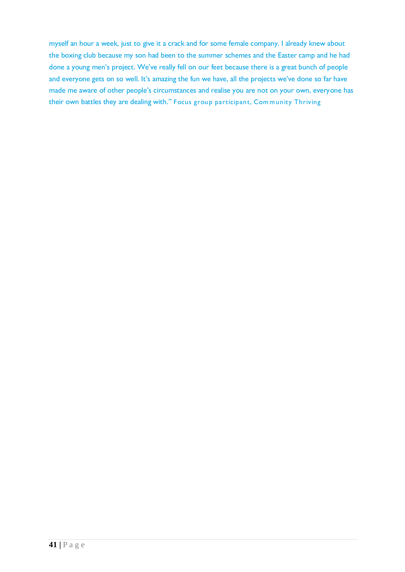myself an hour a week, just to give it a crack and for some female company. I already knew about the boxing club because my son had been to the summer schemes and the Easter camp and he had done a young men's project. We've really fell on our feet because there is a great bunch of people and everyone gets on so well. It's amazing the fun we have, all the projects we've done so far have made me aware of other people's circumstances and realise you are not on your own, everyone has their own battles they are dealing with." Focus group participant, Com munity Thriving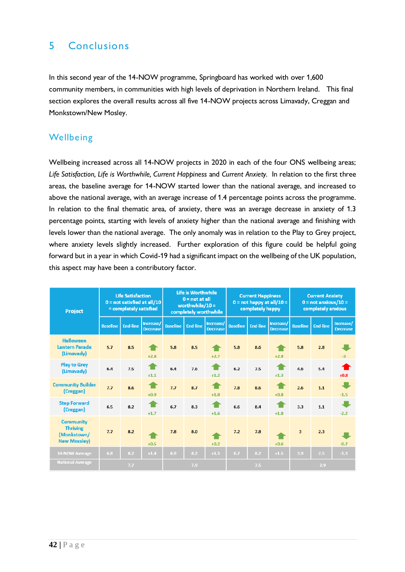# 5 Conclusions

In this second year of the 14-NOW programme, Springboard has worked with over 1,600 community members, in communities with high levels of deprivation in Northern Ireland. This final section explores the overall results across all five 14-NOW projects across Limavady, Creggan and Monkstown/New Mosley.

## Wellbeing

Wellbeing increased across all 14-NOW projects in 2020 in each of the four ONS wellbeing areas; *Life Satisfaction, Life is Worthwhile, Current Happiness* and *Current Anxiety.* In relation to the first three areas, the baseline average for 14-NOW started lower than the national average, and increased to above the national average, with an average increase of 1.4 percentage points across the programme. In relation to the final thematic area, of anxiety, there was an average decrease in anxiety of 1.3 percentage points, starting with levels of anxiety higher than the national average and finishing with levels lower than the national average. The only anomaly was in relation to the Play to Grey project, where anxiety levels slightly increased. Further exploration of this figure could be helpful going forward but in a year in which Covid-19 had a significant impact on the wellbeing of the UK population, this aspect may have been a contributory factor.

| Project                                                                   | <b>Life Satisfaction</b><br>$0 = not satisfied at all/10$<br>= completely satisfied |                 |                              | Life is Worthwhile<br>$0 = not at all$<br>worthwhile/10 =<br>completely worthwhile |                 |                              |                 | <b>Current Happiness</b><br>$0 = not happy at all/10 =$<br>completely happy |                              | <b>Current Anxiety</b><br>$0 = not$ anxious/10 =<br>completely anxious |                 |                              |
|---------------------------------------------------------------------------|-------------------------------------------------------------------------------------|-----------------|------------------------------|------------------------------------------------------------------------------------|-----------------|------------------------------|-----------------|-----------------------------------------------------------------------------|------------------------------|------------------------------------------------------------------------|-----------------|------------------------------|
|                                                                           | <b>Baseline</b>                                                                     | <b>End-line</b> | Increase/<br><b>Decrease</b> | <b>Baseline</b>                                                                    | <b>End-line</b> | Increase/<br><b>Decrease</b> | <b>Baseline</b> | <b>End-line</b>                                                             | Increase/<br><b>Decrease</b> | <b>Baseline</b>                                                        | <b>End-line</b> | Increase/<br><b>Decrease</b> |
| <b>Halloween</b><br><b>Lantern Parade</b><br>(Limavady)                   | 5.7                                                                                 | 8.5             | $+2.8$                       | 5.8                                                                                | 8.5             | $+2.7$                       | 5.8             | 8.6                                                                         | $+2.8$                       | 5.8                                                                    | 2.8             | $-3$                         |
| <b>Play to Grey</b><br>(Limavady)                                         | 6.4                                                                                 | 7.5             | $+1.1$                       | 6.4                                                                                | 7.6             | $+1.2$                       | 6.2             | 7.5                                                                         | $+1.3$                       | 4.6                                                                    | 5.4             | $+0.8$                       |
| <b>Community Builder</b><br>(Creggan)                                     | 7.7                                                                                 | 8.6             | $+0.9$                       | 7.7                                                                                | 8.7             | $+1.0$                       | 7.8             | 8.6                                                                         | $+0.8$                       | 2.6                                                                    | 1.1             | $-1.5$                       |
| <b>Step Forward</b><br>(Creggan)                                          | 6.5                                                                                 | 8.2             | $+1.7$                       | 6.7                                                                                | 8.3             | $+1.6$                       | 6.6             | 8.4                                                                         | $+1.8$                       | 3.3                                                                    | 1.1             | $-2.2$                       |
| <b>Community</b><br><b>Thriving</b><br>(Monkstown/<br><b>New Mossley)</b> | 7.7                                                                                 | 8.2             | $+0.5$                       | 7.8                                                                                | 8.0             | $+0.2$                       | 7.2             | 7.8                                                                         | $+0.6$                       | $\overline{\mathbf{3}}$                                                | 2.3             | $-0.7$                       |
| 14-NOW Average                                                            | 6.8                                                                                 | 8.2             | $+1.4$                       | 6.9                                                                                | 8.2             | $+1.3$                       | 6.7             | 8.2                                                                         | $+1.5$                       | 3.9                                                                    | 2.5             | $-1.3$                       |
| <b>National Average</b>                                                   |                                                                                     | 7.7             |                              |                                                                                    | 7.9             |                              |                 | 7.5                                                                         |                              |                                                                        | 2.9             |                              |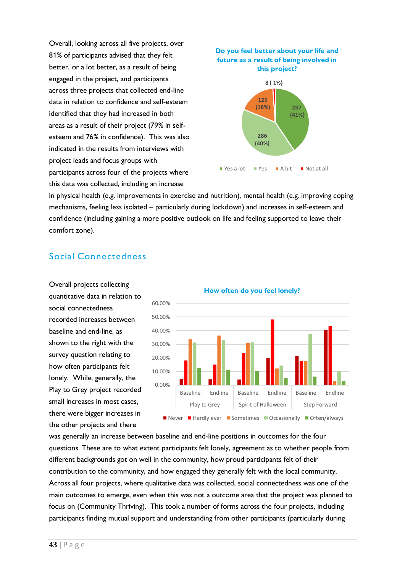Overall, looking across all five projects, over 81% of participants advised that they felt better, or a lot better, as a result of being engaged in the project, and participants across three projects that collected end-line data in relation to confidence and self-esteem identified that they had increased in both areas as a result of their project (79% in selfesteem and 76% in confidence). This was also indicated in the results from interviews with project leads and focus groups with participants across four of the projects where this data was collected, including an increase



in physical health (e.g. improvements in exercise and nutrition), mental health (e.g. improving coping mechanisms, feeling less isolated – particularly during lockdown) and increases in self-esteem and confidence (including gaining a more positive outlook on life and feeling supported to leave their comfort zone).

## Social Connectedness

Overall projects collecting quantitative data in relation to social connectedness recorded increases between baseline and end-line, as shown to the right with the survey question relating to how often participants felt lonely. While, generally, the Play to Grey project recorded small increases in most cases, there were bigger increases in the other projects and there



**How often do you feel lonely?**

was generally an increase between baseline and end-line positions in outcomes for the four questions. These are to what extent participants felt lonely, agreement as to whether people from different backgrounds got on well in the community, how proud participants felt of their contribution to the community, and how engaged they generally felt with the local community. Across all four projects, where qualitative data was collected, social connectedness was one of the main outcomes to emerge, even when this was not a outcome area that the project was planned to focus on (Community Thriving). This took a number of forms across the four projects, including participants finding mutual support and understanding from other participants (particularly during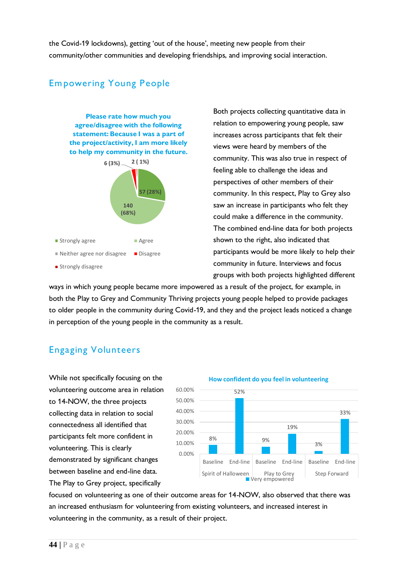the Covid-19 lockdowns), getting 'out of the house', meeting new people from their community/other communities and developing friendships, and improving social interaction.

# Em powering Young People



Both projects collecting quantitative data in relation to empowering young people, saw increases across participants that felt their views were heard by members of the community. This was also true in respect of feeling able to challenge the ideas and perspectives of other members of their community. In this respect, Play to Grey also saw an increase in participants who felt they could make a difference in the community. The combined end-line data for both projects shown to the right, also indicated that participants would be more likely to help their community in future. Interviews and focus groups with both projects highlighted different

ways in which young people became more impowered as a result of the project, for example, in both the Play to Grey and Community Thriving projects young people helped to provide packages to older people in the community during Covid-19, and they and the project leads noticed a change in perception of the young people in the community as a result.

## Engaging Volunteers

While not specifically focusing on the volunteering outcome area in relation to 14-NOW, the three projects collecting data in relation to social connectedness all identified that participants felt more confident in volunteering. This is clearly demonstrated by significant changes between baseline and end-line data. The Play to Grey project, specifically



focused on volunteering as one of their outcome areas for 14-NOW, also observed that there was an increased enthusiasm for volunteering from existing volunteers, and increased interest in volunteering in the community, as a result of their project.